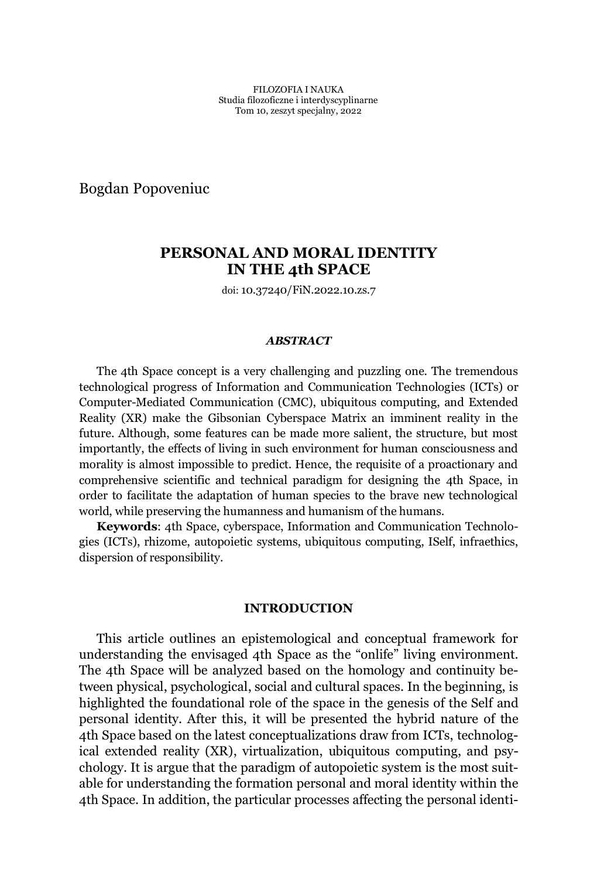Bogdan Popoveniuc

# **PERSONAL AND MORAL IDENTITY IN THE 4th SPACE**

doi: 10.37240/FiN.2022.10.zs.7

#### *ABSTRACT*

The 4th Space concept is a very challenging and puzzling one. The tremendous technological progress of Information and Communication Technologies (ICTs) or Computer-Mediated Communication (CMC), ubiquitous computing, and Extended Reality (XR) make the Gibsonian Cyberspace Matrix an imminent reality in the future. Although, some features can be made more salient, the structure, but most importantly, the effects of living in such environment for human consciousness and morality is almost impossible to predict. Hence, the requisite of a proactionary and comprehensive scientific and technical paradigm for designing the 4th Space, in order to facilitate the adaptation of human species to the brave new technological world, while preserving the humanness and humanism of the humans.

**Keywords**: 4th Space, cyberspace, Information and Communication Technologies (ICTs), rhizome, autopoietic systems, ubiquitous computing, ISelf, infraethics, dispersion of responsibility.

#### **INTRODUCTION**

This article outlines an epistemological and conceptual framework for understanding the envisaged 4th Space as the "onlife" living environment. The 4th Space will be analyzed based on the homology and continuity between physical, psychological, social and cultural spaces. In the beginning, is highlighted the foundational role of the space in the genesis of the Self and personal identity. After this, it will be presented the hybrid nature of the 4th Space based on the latest conceptualizations draw from ICTs, technological extended reality (XR), virtualization, ubiquitous computing, and psychology. It is argue that the paradigm of autopoietic system is the most suitable for understanding the formation personal and moral identity within the 4th Space. In addition, the particular processes affecting the personal identi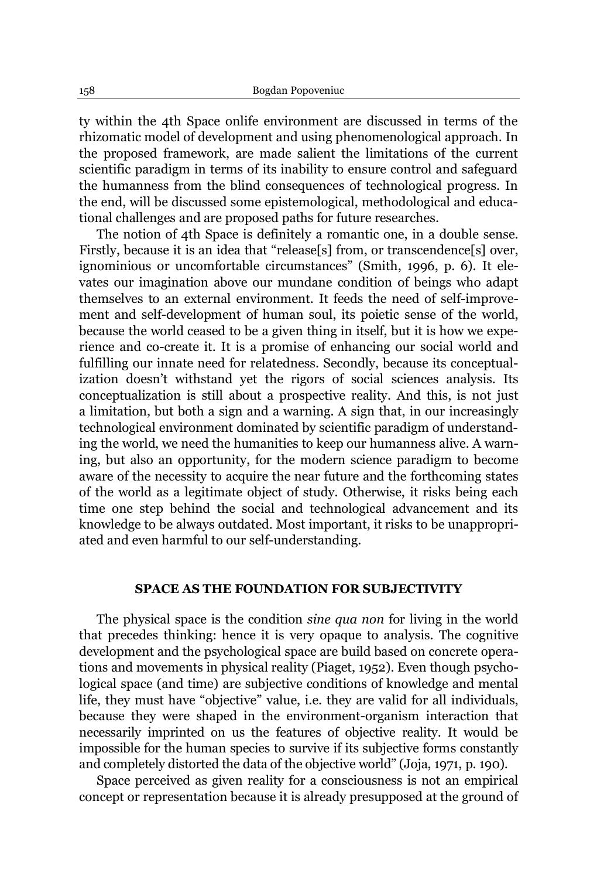ty within the 4th Space onlife environment are discussed in terms of the rhizomatic model of development and using phenomenological approach. In the proposed framework, are made salient the limitations of the current scientific paradigm in terms of its inability to ensure control and safeguard the humanness from the blind consequences of technological progress. In the end, will be discussed some epistemological, methodological and educational challenges and are proposed paths for future researches.

The notion of 4th Space is definitely a romantic one, in a double sense. Firstly, because it is an idea that "release[s] from, or transcendence[s] over, ignominious or uncomfortable circumstances" (Smith, 1996, p. 6). It elevates our imagination above our mundane condition of beings who adapt themselves to an external environment. It feeds the need of self-improvement and self-development of human soul, its poietic sense of the world, because the world ceased to be a given thing in itself, but it is how we experience and co-create it. It is a promise of enhancing our social world and fulfilling our innate need for relatedness. Secondly, because its conceptualization doesn't withstand yet the rigors of social sciences analysis. Its conceptualization is still about a prospective reality. And this, is not just a limitation, but both a sign and a warning. A sign that, in our increasingly technological environment dominated by scientific paradigm of understanding the world, we need the humanities to keep our humanness alive. A warning, but also an opportunity, for the modern science paradigm to become aware of the necessity to acquire the near future and the forthcoming states of the world as a legitimate object of study. Otherwise, it risks being each time one step behind the social and technological advancement and its knowledge to be always outdated. Most important, it risks to be unappropriated and even harmful to our self-understanding.

## **SPACE AS THE FOUNDATION FOR SUBJECTIVITY**

The physical space is the condition *sine qua non* for living in the world that precedes thinking: hence it is very opaque to analysis. The cognitive development and the psychological space are build based on concrete operations and movements in physical reality (Piaget, 1952). Even though psychological space (and time) are subjective conditions of knowledge and mental life, they must have "objective" value, i.e. they are valid for all individuals, because they were shaped in the environment-organism interaction that necessarily imprinted on us the features of objective reality. It would be impossible for the human species to survive if its subjective forms constantly and completely distorted the data of the objective world" (Joja, 1971, p. 190).

Space perceived as given reality for a consciousness is not an empirical concept or representation because it is already presupposed at the ground of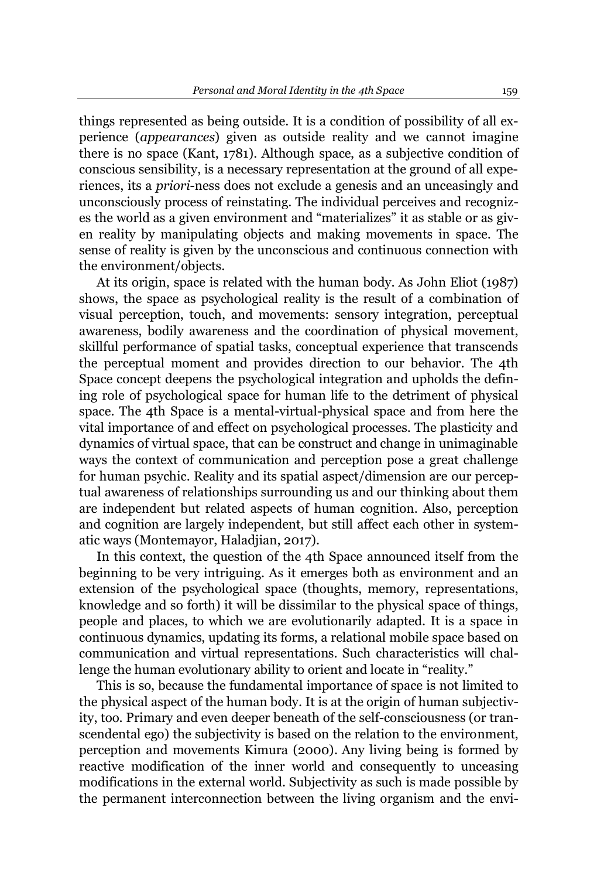things represented as being outside. It is a condition of possibility of all experience (*appearances*) given as outside reality and we cannot imagine there is no space (Kant, 1781). Although space, as a subjective condition of conscious sensibility, is a necessary representation at the ground of all experiences, its a *priori*-ness does not exclude a genesis and an unceasingly and unconsciously process of reinstating. The individual perceives and recognizes the world as a given environment and "materializes" it as stable or as given reality by manipulating objects and making movements in space. The sense of reality is given by the unconscious and continuous connection with the environment/objects.

At its origin, space is related with the human body. As John Eliot (1987) shows, the space as psychological reality is the result of a combination of visual perception, touch, and movements: sensory integration, perceptual awareness, bodily awareness and the coordination of physical movement, skillful performance of spatial tasks, conceptual experience that transcends the perceptual moment and provides direction to our behavior. The 4th Space concept deepens the psychological integration and upholds the defining role of psychological space for human life to the detriment of physical space. The 4th Space is a mental-virtual-physical space and from here the vital importance of and effect on psychological processes. The plasticity and dynamics of virtual space, that can be construct and change in unimaginable ways the context of communication and perception pose a great challenge for human psychic. Reality and its spatial aspect/dimension are our perceptual awareness of relationships surrounding us and our thinking about them are independent but related aspects of human cognition. Also, perception and cognition are largely independent, but still affect each other in systematic ways (Montemayor, Haladjian, 2017).

In this context, the question of the 4th Space announced itself from the beginning to be very intriguing. As it emerges both as environment and an extension of the psychological space (thoughts, memory, representations, knowledge and so forth) it will be dissimilar to the physical space of things, people and places, to which we are evolutionarily adapted. It is a space in continuous dynamics, updating its forms, a relational mobile space based on communication and virtual representations. Such characteristics will challenge the human evolutionary ability to orient and locate in "reality."

This is so, because the fundamental importance of space is not limited to the physical aspect of the human body. It is at the origin of human subjectivity, too. Primary and even deeper beneath of the self-consciousness (or transcendental ego) the subjectivity is based on the relation to the environment, perception and movements Kimura (2000). Any living being is formed by reactive modification of the inner world and consequently to unceasing modifications in the external world. Subjectivity as such is made possible by the permanent interconnection between the living organism and the envi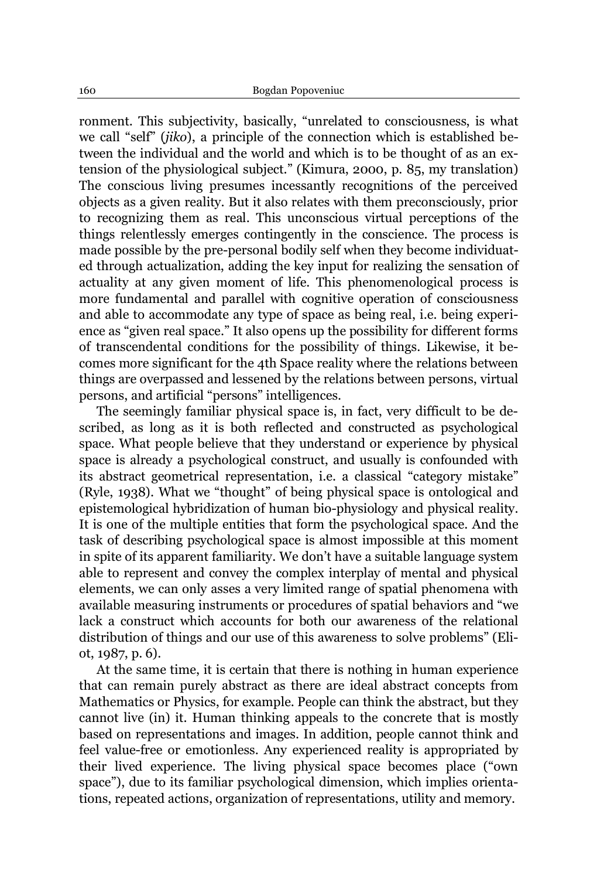ronment. This subjectivity, basically, "unrelated to consciousness, is what we call "self" (*jiko*), a principle of the connection which is established between the individual and the world and which is to be thought of as an extension of the physiological subject." (Kimura, 2000, p. 85, my translation) The conscious living presumes incessantly recognitions of the perceived objects as a given reality. But it also relates with them preconsciously, prior to recognizing them as real. This unconscious virtual perceptions of the things relentlessly emerges contingently in the conscience. The process is made possible by the pre-personal bodily self when they become individuated through actualization, adding the key input for realizing the sensation of actuality at any given moment of life. This phenomenological process is more fundamental and parallel with cognitive operation of consciousness and able to accommodate any type of space as being real, i.e. being experience as "given real space." It also opens up the possibility for different forms of transcendental conditions for the possibility of things. Likewise, it becomes more significant for the 4th Space reality where the relations between things are overpassed and lessened by the relations between persons, virtual persons, and artificial "persons" intelligences.

The seemingly familiar physical space is, in fact, very difficult to be described, as long as it is both reflected and constructed as psychological space. What people believe that they understand or experience by physical space is already a psychological construct, and usually is confounded with its abstract geometrical representation, i.e. a classical "category mistake" (Ryle, 1938). What we "thought" of being physical space is ontological and epistemological hybridization of human bio-physiology and physical reality. It is one of the multiple entities that form the psychological space. And the task of describing psychological space is almost impossible at this moment in spite of its apparent familiarity. We don't have a suitable language system able to represent and convey the complex interplay of mental and physical elements, we can only asses a very limited range of spatial phenomena with available measuring instruments or procedures of spatial behaviors and "we lack a construct which accounts for both our awareness of the relational distribution of things and our use of this awareness to solve problems" (Eliot, 1987, p. 6).

At the same time, it is certain that there is nothing in human experience that can remain purely abstract as there are ideal abstract concepts from Mathematics or Physics, for example. People can think the abstract, but they cannot live (in) it. Human thinking appeals to the concrete that is mostly based on representations and images. In addition, people cannot think and feel value-free or emotionless. Any experienced reality is appropriated by their lived experience. The living physical space becomes place ("own space"), due to its familiar psychological dimension, which implies orientations, repeated actions, organization of representations, utility and memory.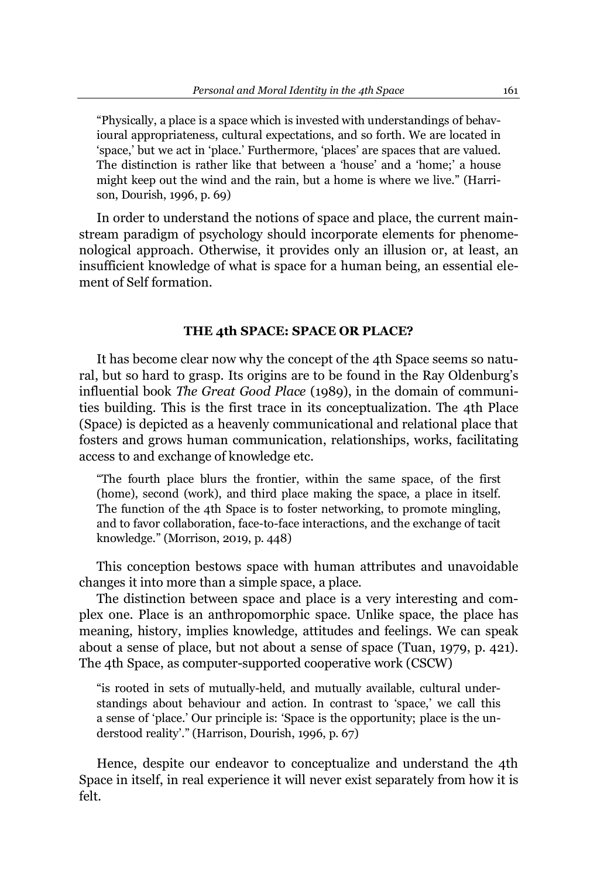"Physically, a place is a space which is invested with understandings of behavioural appropriateness, cultural expectations, and so forth. We are located in 'space,' but we act in 'place.' Furthermore, 'places' are spaces that are valued. The distinction is rather like that between a 'house' and a 'home;' a house might keep out the wind and the rain, but a home is where we live." (Harrison, Dourish, 1996, p. 69)

In order to understand the notions of space and place, the current mainstream paradigm of psychology should incorporate elements for phenomenological approach. Otherwise, it provides only an illusion or, at least, an insufficient knowledge of what is space for a human being, an essential element of Self formation.

## **THE 4th SPACE: SPACE OR PLACE?**

It has become clear now why the concept of the 4th Space seems so natural, but so hard to grasp. Its origins are to be found in the Ray Oldenburg's influential book *The Great Good Place* (1989), in the domain of communities building. This is the first trace in its conceptualization. The 4th Place (Space) is depicted as a heavenly communicational and relational place that fosters and grows human communication, relationships, works, facilitating access to and exchange of knowledge etc.

"The fourth place blurs the frontier, within the same space, of the first (home), second (work), and third place making the space, a place in itself. The function of the 4th Space is to foster networking, to promote mingling, and to favor collaboration, face-to-face interactions, and the exchange of tacit knowledge." (Morrison, 2019, p. 448)

This conception bestows space with human attributes and unavoidable changes it into more than a simple space, a place.

The distinction between space and place is a very interesting and complex one. Place is an anthropomorphic space. Unlike space, the place has meaning, history, implies knowledge, attitudes and feelings. We can speak about a sense of place, but not about a sense of space (Tuan, 1979, p. 421). The 4th Space, as computer-supported cooperative work (CSCW)

"is rooted in sets of mutually-held, and mutually available, cultural understandings about behaviour and action. In contrast to 'space,' we call this a sense of 'place.' Our principle is: 'Space is the opportunity; place is the understood reality'." (Harrison, Dourish, 1996, p. 67)

Hence, despite our endeavor to conceptualize and understand the 4th Space in itself, in real experience it will never exist separately from how it is felt.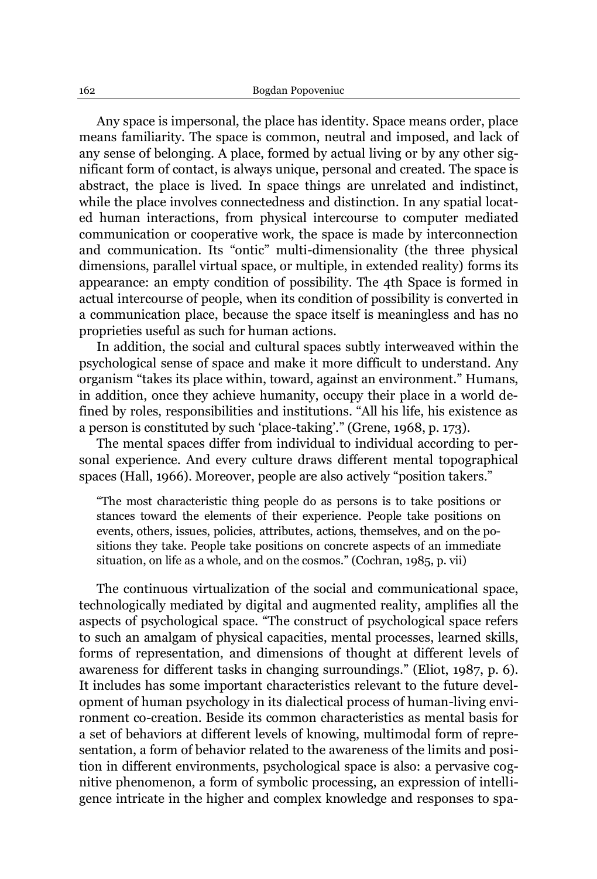Any space is impersonal, the place has identity. Space means order, place means familiarity. The space is common, neutral and imposed, and lack of any sense of belonging. A place, formed by actual living or by any other significant form of contact, is always unique, personal and created. The space is abstract, the place is lived. In space things are unrelated and indistinct, while the place involves connectedness and distinction. In any spatial located human interactions, from physical intercourse to computer mediated communication or cooperative work, the space is made by interconnection and communication. Its "ontic" multi-dimensionality (the three physical dimensions, parallel virtual space, or multiple, in extended reality) forms its appearance: an empty condition of possibility. The 4th Space is formed in actual intercourse of people, when its condition of possibility is converted in a communication place, because the space itself is meaningless and has no proprieties useful as such for human actions.

In addition, the social and cultural spaces subtly interweaved within the psychological sense of space and make it more difficult to understand. Any organism "takes its place within, toward, against an environment." Humans, in addition, once they achieve humanity, occupy their place in a world defined by roles, responsibilities and institutions. "All his life, his existence as a person is constituted by such 'place-taking'." (Grene, 1968, p. 173).

The mental spaces differ from individual to individual according to personal experience. And every culture draws different mental topographical spaces (Hall, 1966). Moreover, people are also actively "position takers."

"The most characteristic thing people do as persons is to take positions or stances toward the elements of their experience. People take positions on events, others, issues, policies, attributes, actions, themselves, and on the positions they take. People take positions on concrete aspects of an immediate situation, on life as a whole, and on the cosmos." (Cochran,  $1985$ , p. vii)

The continuous virtualization of the social and communicational space, technologically mediated by digital and augmented reality, amplifies all the aspects of psychological space. "The construct of psychological space refers to such an amalgam of physical capacities, mental processes, learned skills, forms of representation, and dimensions of thought at different levels of awareness for different tasks in changing surroundings.´ (Eliot, 1987, p. 6). It includes has some important characteristics relevant to the future development of human psychology in its dialectical process of human-living environment co-creation. Beside its common characteristics as mental basis for a set of behaviors at different levels of knowing, multimodal form of representation, a form of behavior related to the awareness of the limits and position in different environments, psychological space is also: a pervasive cognitive phenomenon, a form of symbolic processing, an expression of intelligence intricate in the higher and complex knowledge and responses to spa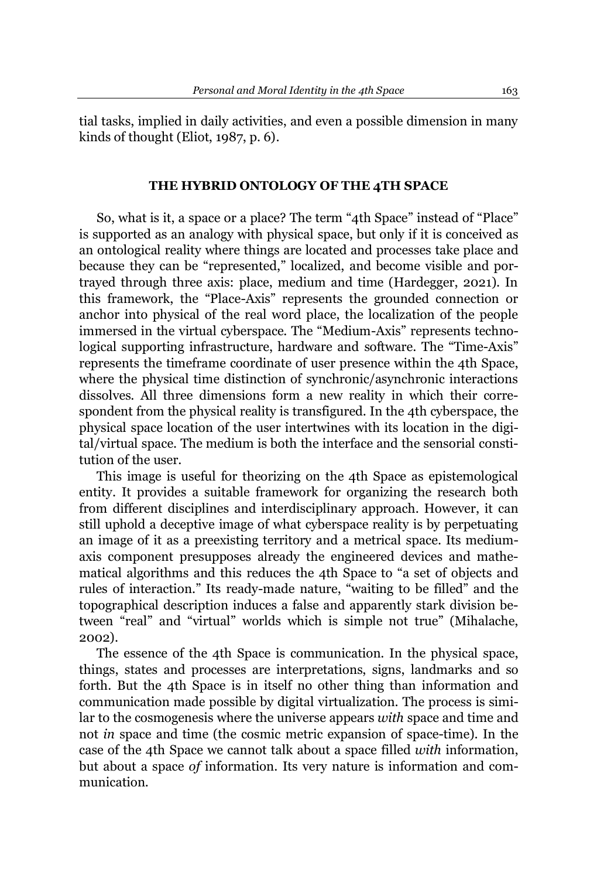tial tasks, implied in daily activities, and even a possible dimension in many kinds of thought (Eliot, 1987, p. 6).

## **THE HYBRID ONTOLOGY OF THE 4TH SPACE**

So, what is it, a space or a place? The term "4th Space" instead of "Place" is supported as an analogy with physical space, but only if it is conceived as an ontological reality where things are located and processes take place and because they can be "represented," localized, and become visible and portrayed through three axis: place, medium and time (Hardegger, 2021). In this framework, the "Place-Axis" represents the grounded connection or anchor into physical of the real word place, the localization of the people immersed in the virtual cyberspace. The "Medium-Axis" represents technological supporting infrastructure, hardware and software. The "Time-Axis" represents the timeframe coordinate of user presence within the 4th Space, where the physical time distinction of synchronic/asynchronic interactions dissolves. All three dimensions form a new reality in which their correspondent from the physical reality is transfigured. In the 4th cyberspace, the physical space location of the user intertwines with its location in the digital/virtual space. The medium is both the interface and the sensorial constitution of the user.

This image is useful for theorizing on the 4th Space as epistemological entity. It provides a suitable framework for organizing the research both from different disciplines and interdisciplinary approach. However, it can still uphold a deceptive image of what cyberspace reality is by perpetuating an image of it as a preexisting territory and a metrical space. Its mediumaxis component presupposes already the engineered devices and mathematical algorithms and this reduces the 4th Space to "a set of objects and rules of interaction." Its ready-made nature, "waiting to be filled" and the topographical description induces a false and apparently stark division between "real" and "virtual" worlds which is simple not true" (Mihalache, 2002).

The essence of the 4th Space is communication. In the physical space, things, states and processes are interpretations, signs, landmarks and so forth. But the 4th Space is in itself no other thing than information and communication made possible by digital virtualization. The process is similar to the cosmogenesis where the universe appears *with* space and time and not *in* space and time (the cosmic metric expansion of space-time). In the case of the 4th Space we cannot talk about a space filled *with* information, but about a space *of* information. Its very nature is information and communication.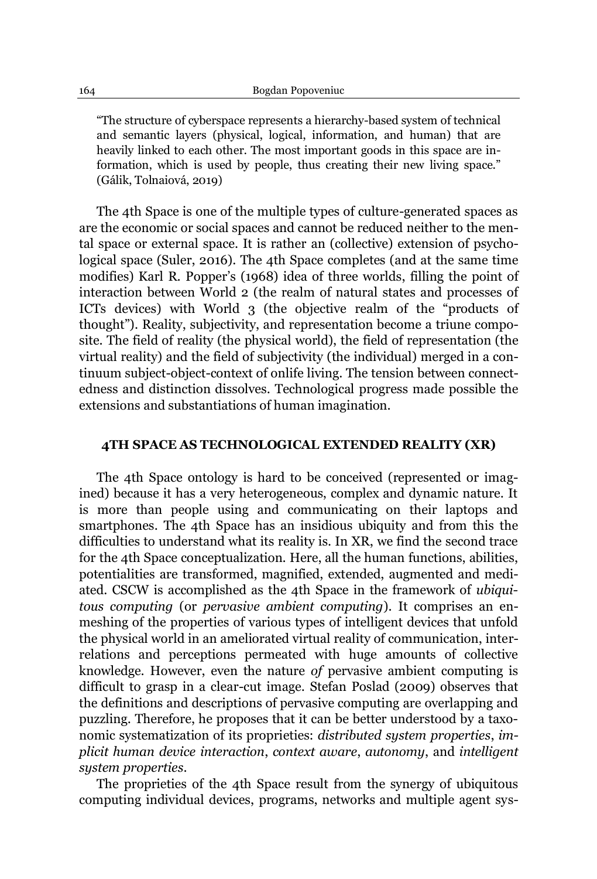"The structure of cyberspace represents a hierarchy-based system of technical and semantic layers (physical, logical, information, and human) that are heavily linked to each other. The most important goods in this space are information, which is used by people, thus creating their new living space." (Gálik, Tolnaiová, 2019)

The 4th Space is one of the multiple types of culture-generated spaces as are the economic or social spaces and cannot be reduced neither to the mental space or external space. It is rather an (collective) extension of psychological space (Suler, 2016). The 4th Space completes (and at the same time modifies) Karl R. Popper's (1968) idea of three worlds, filling the point of interaction between World 2 (the realm of natural states and processes of ICTs devices) with World  $3$  (the objective realm of the "products of thought"). Reality, subjectivity, and representation become a triune composite. The field of reality (the physical world), the field of representation (the virtual reality) and the field of subjectivity (the individual) merged in a continuum subject-object-context of onlife living. The tension between connectedness and distinction dissolves. Technological progress made possible the extensions and substantiations of human imagination.

### **4TH SPACE AS TECHNOLOGICAL EXTENDED REALITY (XR)**

The 4th Space ontology is hard to be conceived (represented or imagined) because it has a very heterogeneous, complex and dynamic nature. It is more than people using and communicating on their laptops and smartphones. The 4th Space has an insidious ubiquity and from this the difficulties to understand what its reality is. In XR, we find the second trace for the 4th Space conceptualization. Here, all the human functions, abilities, potentialities are transformed, magnified, extended, augmented and mediated. CSCW is accomplished as the 4th Space in the framework of *ubiquitous computing* (or *pervasive ambient computing*). It comprises an enmeshing of the properties of various types of intelligent devices that unfold the physical world in an ameliorated virtual reality of communication, interrelations and perceptions permeated with huge amounts of collective knowledge. However, even the nature *of* pervasive ambient computing is difficult to grasp in a clear-cut image. Stefan Poslad (2009) observes that the definitions and descriptions of pervasive computing are overlapping and puzzling. Therefore, he proposes that it can be better understood by a taxonomic systematization of its proprieties: *distributed system properties*, *implicit human device interaction*, *context aware*, *autonomy*, and *intelligent system properties*.

The proprieties of the 4th Space result from the synergy of ubiquitous computing individual devices, programs, networks and multiple agent sys-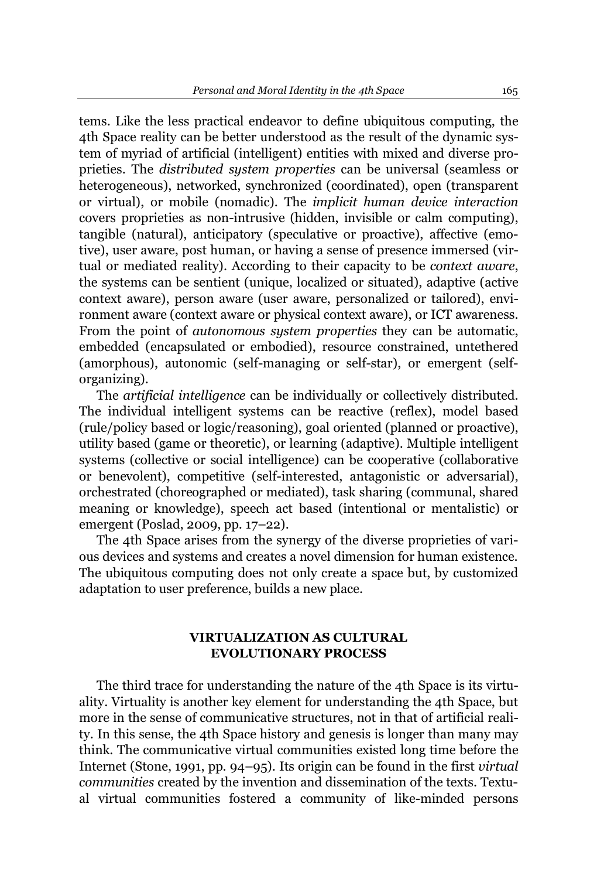tems. Like the less practical endeavor to define ubiquitous computing, the 4th Space reality can be better understood as the result of the dynamic system of myriad of artificial (intelligent) entities with mixed and diverse proprieties. The *distributed system properties* can be universal (seamless or heterogeneous), networked, synchronized (coordinated), open (transparent or virtual), or mobile (nomadic). The *implicit human device interaction* covers proprieties as non-intrusive (hidden, invisible or calm computing), tangible (natural), anticipatory (speculative or proactive), affective (emotive), user aware, post human, or having a sense of presence immersed (virtual or mediated reality). According to their capacity to be *context aware*, the systems can be sentient (unique, localized or situated), adaptive (active context aware), person aware (user aware, personalized or tailored), environment aware (context aware or physical context aware), or ICT awareness. From the point of *autonomous system properties* they can be automatic, embedded (encapsulated or embodied), resource constrained, untethered (amorphous), autonomic (self-managing or self-star), or emergent (selforganizing).

The *artificial intelligence* can be individually or collectively distributed. The individual intelligent systems can be reactive (reflex), model based (rule/policy based or logic/reasoning), goal oriented (planned or proactive), utility based (game or theoretic), or learning (adaptive). Multiple intelligent systems (collective or social intelligence) can be cooperative (collaborative or benevolent), competitive (self-interested, antagonistic or adversarial), orchestrated (choreographed or mediated), task sharing (communal, shared meaning or knowledge), speech act based (intentional or mentalistic) or emergent (Poslad, 2009, pp. 17–22).

The 4th Space arises from the synergy of the diverse proprieties of various devices and systems and creates a novel dimension for human existence. The ubiquitous computing does not only create a space but, by customized adaptation to user preference, builds a new place.

# **VIRTUALIZATION AS CULTURAL EVOLUTIONARY PROCESS**

The third trace for understanding the nature of the 4th Space is its virtuality. Virtuality is another key element for understanding the 4th Space, but more in the sense of communicative structures, not in that of artificial reality. In this sense, the 4th Space history and genesis is longer than many may think. The communicative virtual communities existed long time before the Internet (Stone, 1991, pp. 94–95). Its origin can be found in the first *virtual communities* created by the invention and dissemination of the texts. Textual virtual communities fostered a community of like-minded persons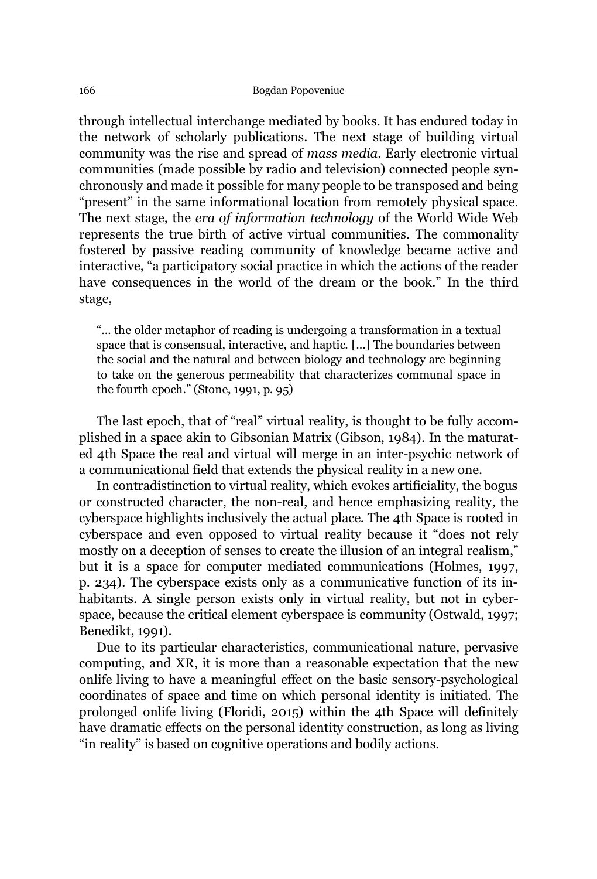through intellectual interchange mediated by books. It has endured today in the network of scholarly publications. The next stage of building virtual community was the rise and spread of *mass media*. Early electronic virtual communities (made possible by radio and television) connected people synchronously and made it possible for many people to be transposed and being "present" in the same informational location from remotely physical space. The next stage, the *era of information technology* of the World Wide Web represents the true birth of active virtual communities. The commonality fostered by passive reading community of knowledge became active and interactive, "a participatory social practice in which the actions of the reader have consequences in the world of the dream or the book." In the third stage,

"... the older metaphor of reading is undergoing a transformation in a textual space that is consensual, interactive, and haptic. [...] The boundaries between the social and the natural and between biology and technology are beginning to take on the generous permeability that characterizes communal space in the fourth epoch." (Stone, 1991, p. 95)

The last epoch, that of "real" virtual reality, is thought to be fully accomplished in a space akin to Gibsonian Matrix (Gibson, 1984). In the maturated 4th Space the real and virtual will merge in an inter-psychic network of a communicational field that extends the physical reality in a new one.

In contradistinction to virtual reality, which evokes artificiality, the bogus or constructed character, the non-real, and hence emphasizing reality, the cyberspace highlights inclusively the actual place. The 4th Space is rooted in cyberspace and even opposed to virtual reality because it "does not rely mostly on a deception of senses to create the illusion of an integral realism," but it is a space for computer mediated communications (Holmes, 1997, p. 234). The cyberspace exists only as a communicative function of its inhabitants. A single person exists only in virtual reality, but not in cyberspace, because the critical element cyberspace is community (Ostwald, 1997; Benedikt, 1991).

Due to its particular characteristics, communicational nature, pervasive computing, and XR, it is more than a reasonable expectation that the new onlife living to have a meaningful effect on the basic sensory-psychological coordinates of space and time on which personal identity is initiated. The prolonged onlife living (Floridi, 2015) within the 4th Space will definitely have dramatic effects on the personal identity construction, as long as living "in reality" is based on cognitive operations and bodily actions.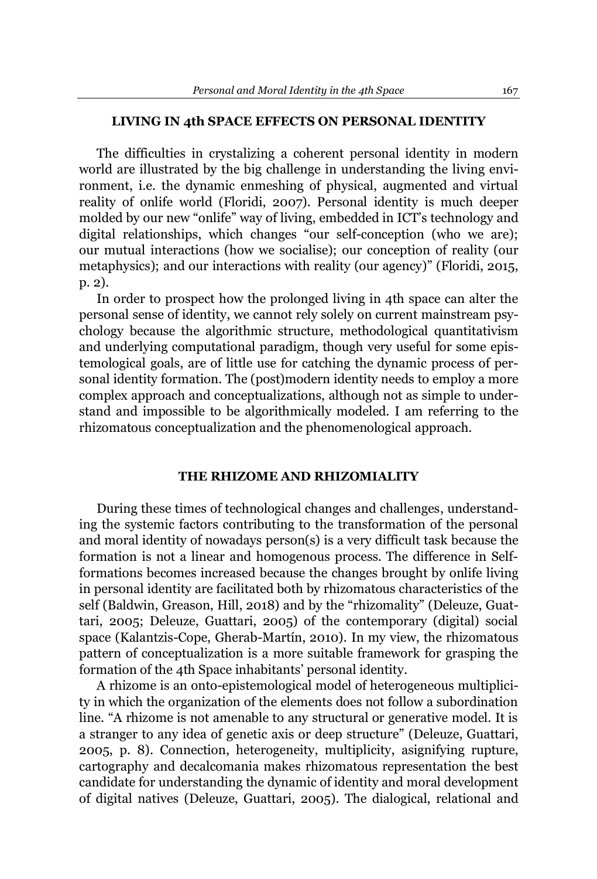#### **LIVING IN 4th SPACE EFFECTS ON PERSONAL IDENTITY**

The difficulties in crystalizing a coherent personal identity in modern world are illustrated by the big challenge in understanding the living environment, i.e. the dynamic enmeshing of physical, augmented and virtual reality of onlife world (Floridi, 2007). Personal identity is much deeper molded by our new "onlife" way of living, embedded in ICT's technology and digital relationships, which changes "our self-conception (who we are); our mutual interactions (how we socialise); our conception of reality (our metaphysics); and our interactions with reality (our agency)" (Floridi, 2015, p. 2).

In order to prospect how the prolonged living in 4th space can alter the personal sense of identity, we cannot rely solely on current mainstream psychology because the algorithmic structure, methodological quantitativism and underlying computational paradigm, though very useful for some epistemological goals, are of little use for catching the dynamic process of personal identity formation. The (post)modern identity needs to employ a more complex approach and conceptualizations, although not as simple to understand and impossible to be algorithmically modeled. I am referring to the rhizomatous conceptualization and the phenomenological approach.

#### **THE RHIZOME AND RHIZOMIALITY**

During these times of technological changes and challenges, understanding the systemic factors contributing to the transformation of the personal and moral identity of nowadays person(s) is a very difficult task because the formation is not a linear and homogenous process. The difference in Selfformations becomes increased because the changes brought by onlife living in personal identity are facilitated both by rhizomatous characteristics of the self (Baldwin, [Greason, Hill,](file:///M:/In%20progress/PROIECTE/CHANSE/Materiale/Exploring%20the%20Rhizomal%20Self.pdf) 2018) and by the "rhizomality" (Deleuze, Guattari, 2005; Deleuze, Guattari, 2005) of the contemporary (digital) social space (Kalantzis-Cope, Gherab-Martín, 2010). In my view, the rhizomatous pattern of conceptualization is a more suitable framework for grasping the formation of the 4th Space inhabitants' personal identity.

A rhizome is an onto-epistemological model of heterogeneous multiplicity in which the organization of the elements does not follow a subordination line. "A rhizome is not amenable to any structural or generative model. It is a stranger to any idea of genetic axis or deep structure" (Deleuze, Guattari, 2005, p. 8). Connection, heterogeneity, multiplicity, asignifying rupture, cartography and decalcomania makes rhizomatous representation the best candidate for understanding the dynamic of identity and moral development of digital natives (Deleuze, Guattari, 2005). The dialogical, relational and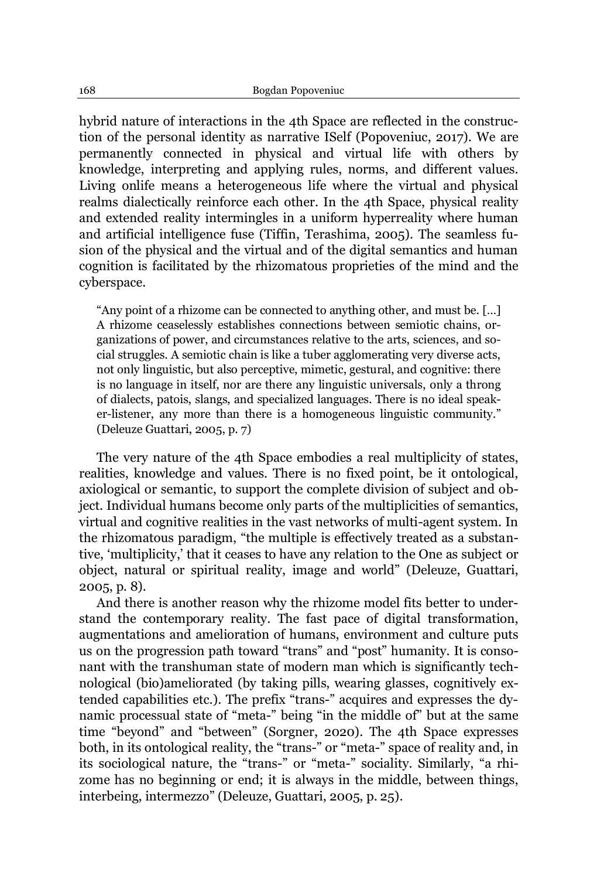hybrid nature of interactions in the 4th Space are reflected in the construction of the personal identity as narrative ISelf (Popoveniuc, 2017). We are permanently connected in physical and virtual life with others by knowledge, interpreting and applying rules, norms, and different values. Living onlife means a heterogeneous life where the virtual and physical realms dialectically reinforce each other. In the 4th Space, physical reality and extended reality intermingles in a uniform hyperreality where human and artificial intelligence fuse (Tiffin, Terashima, 2005). The seamless fusion of the physical and the virtual and of the digital semantics and human cognition is facilitated by the rhizomatous proprieties of the mind and the cyberspace.

"Any point of a rhizome can be connected to anything other, and must be. [...] A rhizome ceaselessly establishes connections between semiotic chains, organizations of power, and circumstances relative to the arts, sciences, and social struggles. A semiotic chain is like a tuber agglomerating very diverse acts, not only linguistic, but also perceptive, mimetic, gestural, and cognitive: there is no language in itself, nor are there any linguistic universals, only a throng of dialects, patois, slangs, and specialized languages. There is no ideal speaker-listener, any more than there is a homogeneous linguistic community." (Deleuze Guattari, 2005, p. 7)

The very nature of the 4th Space embodies a real multiplicity of states, realities, knowledge and values. There is no fixed point, be it ontological, axiological or semantic, to support the complete division of subject and object. Individual humans become only parts of the multiplicities of semantics, virtual and cognitive realities in the vast networks of multi-agent system. In the rhizomatous paradigm, "the multiple is effectively treated as a substantive, 'multiplicity,' that it ceases to have any relation to the One as subject or object, natural or spiritual reality, image and world´ (Deleuze, Guattari, 2005, p. 8).

And there is another reason why the rhizome model fits better to understand the contemporary reality. The fast pace of digital transformation, augmentations and amelioration of humans, environment and culture puts us on the progression path toward "trans" and "post" humanity. It is consonant with the transhuman state of modern man which is significantly technological (bio)ameliorated (by taking pills, wearing glasses, cognitively extended capabilities etc.). The prefix "trans-" acquires and expresses the dynamic processual state of "meta-" being "in the middle of" but at the same time "beyond" and "between" (Sorgner, 2020). The 4th Space expresses both, in its ontological reality, the "trans-" or "meta-" space of reality and, in its sociological nature, the "trans-" or "meta-" sociality. Similarly, "a rhizome has no beginning or end; it is always in the middle, between things, interbeing, intermezzo" (Deleuze, Guattari, 2005, p. 25).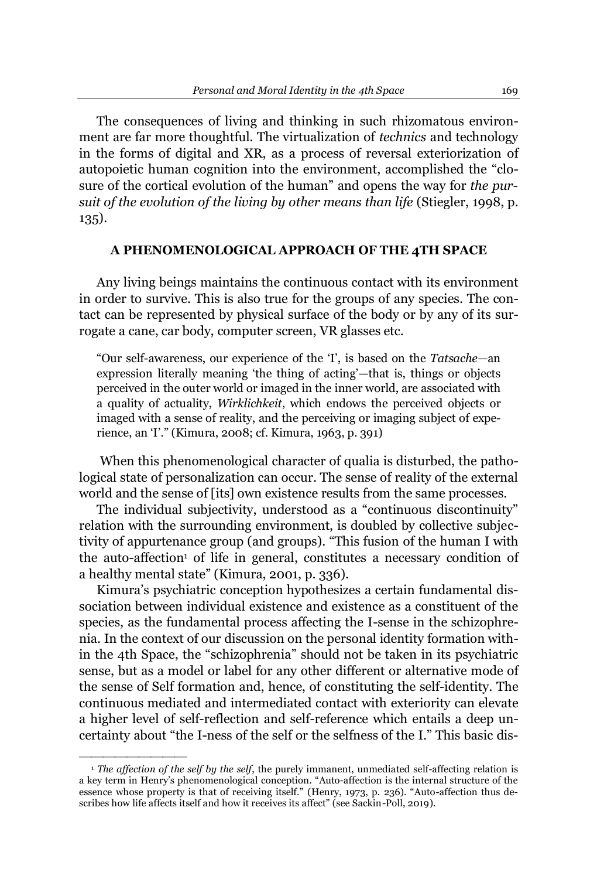The consequences of living and thinking in such rhizomatous environment are far more thoughtful. The virtualization of *technics* and technology in the forms of digital and XR, as a process of reversal exteriorization of autopoietic human cognition into the environment, accomplished the "closure of the cortical evolution of the human" and opens the way for *the pursuit of the evolution of the living by other means than life* (Stiegler, 1998, p. 135).

## **A PHENOMENOLOGICAL APPROACH OF THE 4TH SPACE**

Any living beings maintains the continuous contact with its environment in order to survive. This is also true for the groups of any species. The contact can be represented by physical surface of the body or by any of its surrogate a cane, car body, computer screen, VR glasses etc.

"Our self-awareness, our experience of the 'I', is based on the *Tatsache*-an expression literally meaning 'the thing of acting'—that is, things or objects perceived in the outer world or imaged in the inner world, are associated with a quality of actuality, *Wirklichkeit*, which endows the perceived objects or imaged with a sense of reality, and the perceiving or imaging subject of experience, an 'I'." (Kimura, 2008; cf. Kimura, 1963, p. 391)

When this phenomenological character of qualia is disturbed, the pathological state of personalization can occur. The sense of reality of the external world and the sense of [its] own existence results from the same processes.

The individual subjectivity, understood as a "continuous discontinuity" relation with the surrounding environment, is doubled by collective subjectivity of appurtenance group (and groups). "This fusion of the human I with the auto-affection<sup>1</sup> of life in general, constitutes a necessary condition of a healthy mental state" (Kimura, 2001, p. 336).

Kimura's psychiatric conception hypothesizes a certain fundamental dissociation between individual existence and existence as a constituent of the species, as the fundamental process affecting the I-sense in the schizophrenia. In the context of our discussion on the personal identity formation within the 4th Space, the "schizophrenia" should not be taken in its psychiatric sense, but as a model or label for any other different or alternative mode of the sense of Self formation and, hence, of constituting the self-identity. The continuous mediated and intermediated contact with exteriority can elevate a higher level of self-reflection and self-reference which entails a deep uncertainty about "the I-ness of the self or the selfness of the I." This basic dis-

²²²²²²²²²

<sup>1</sup> *The affection of the self by the self*, the purely immanent, unmediated self-affecting relation is a key term in Henry's phenomenological conception. "Auto-affection is the internal structure of the essence whose property is that of receiving itself." (Henry, 1973, p. 236). "Auto-affection thus describes how life affects itself and how it receives its affect" (see Sackin-Poll, 2019).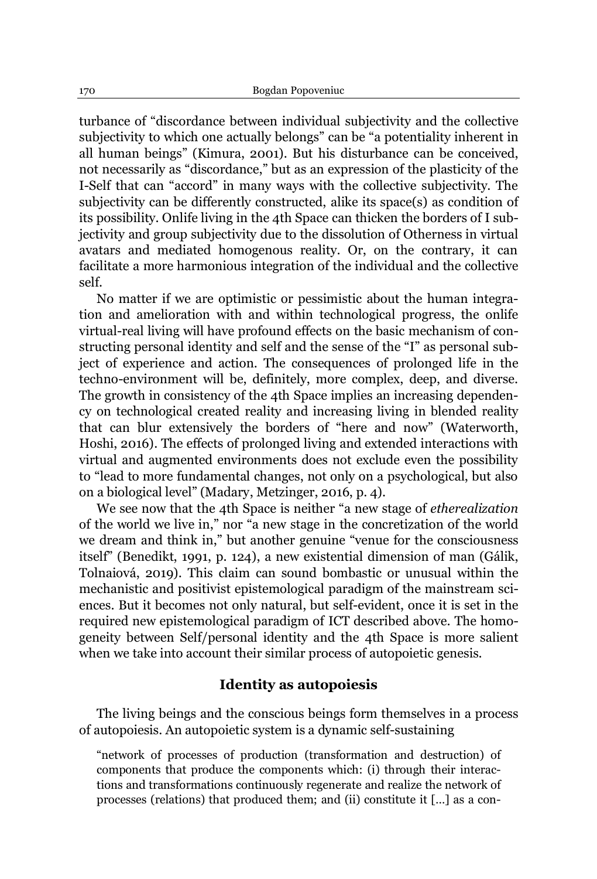turbance of "discordance between individual subjectivity and the collective subjectivity to which one actually belongs" can be "a potentiality inherent in all human beings´(Kimura, 2001). But his disturbance can be conceived, not necessarily as "discordance," but as an expression of the plasticity of the I-Self that can "accord" in many ways with the collective subjectivity. The subjectivity can be differently constructed, alike its space(s) as condition of its possibility. Onlife living in the 4th Space can thicken the borders of I subjectivity and group subjectivity due to the dissolution of Otherness in virtual avatars and mediated homogenous reality. Or, on the contrary, it can facilitate a more harmonious integration of the individual and the collective self.

No matter if we are optimistic or pessimistic about the human integration and amelioration with and within technological progress, the onlife virtual-real living will have profound effects on the basic mechanism of constructing personal identity and self and the sense of the "I" as personal subject of experience and action. The consequences of prolonged life in the techno-environment will be, definitely, more complex, deep, and diverse. The growth in consistency of the 4th Space implies an increasing dependency on technological created reality and increasing living in blended reality that can blur extensively the borders of "here and now" (Waterworth, Hoshi, 2016). The effects of prolonged living and extended interactions with virtual and augmented environments does not exclude even the possibility to "lead to more fundamental changes, not only on a psychological, but also on a biological level" (Madary, Metzinger, 2016, p. 4).

We see now that the 4<sup>th</sup> Space is neither "a new stage of *etherealization* of the world we live in," nor "a new stage in the concretization of the world we dream and think in," but another genuine "venue for the consciousness itself" (Benedikt, 1991, p. 124), a new existential dimension of man (Gálik, Tolnaiová, 2019). This claim can sound bombastic or unusual within the mechanistic and positivist epistemological paradigm of the mainstream sciences. But it becomes not only natural, but self-evident, once it is set in the required new epistemological paradigm of ICT described above. The homogeneity between Self/personal identity and the 4th Space is more salient when we take into account their similar process of autopoietic genesis.

# **Identity as autopoiesis**

The living beings and the conscious beings form themselves in a process of autopoiesis. An autopoietic system is a dynamic self-sustaining

"network of processes of production (transformation and destruction) of components that produce the components which: (i) through their interactions and transformations continuously regenerate and realize the network of processes (relations) that produced them; and (ii) constitute it [...] as a con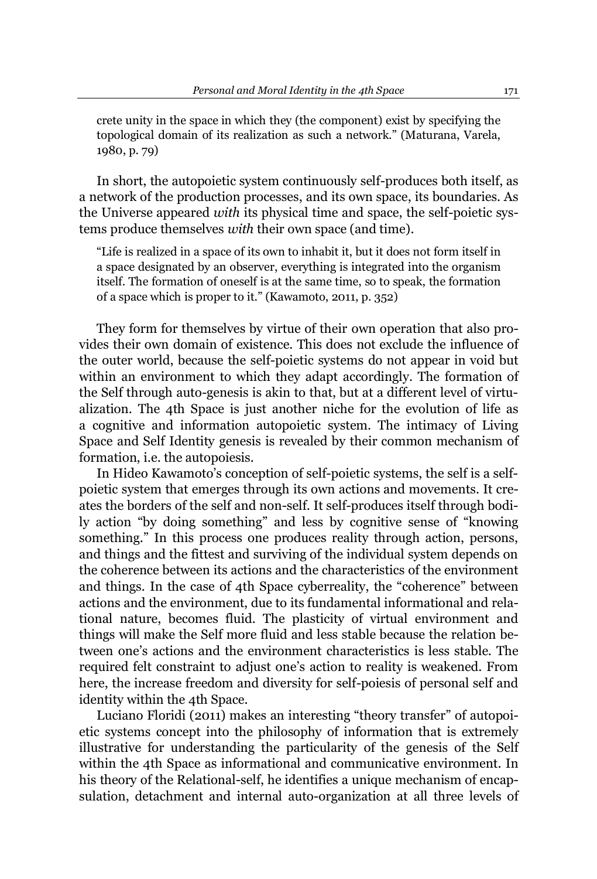crete unity in the space in which they (the component) exist by specifying the topological domain of its realization as such a network." [\(Maturana, Varela,](file:///M:/In%20progress/PROIECTE/CHANSE/Materiale/Autopoiesis%20and%20Congition%20The%20Realization%20of%20the%20Living.pdf) [1980,](file:///M:/In%20progress/PROIECTE/CHANSE/Materiale/Autopoiesis%20and%20Congition%20The%20Realization%20of%20the%20Living.pdf) p. 79)

In short, the autopoietic system continuously self-produces both itself, as a network of the production processes, and its own space, its boundaries. As the Universe appeared *with* its physical time and space, the self-poietic systems produce themselves *with* their own space (and time).

"Life is realized in a space of its own to inhabit it, but it does not form itself in a space designated by an observer, everything is integrated into the organism itself. The formation of oneself is at the same time, so to speak, the formation of a space which is proper to it." (Kawamoto, 2011, p. 352)

They form for themselves by virtue of their own operation that also provides their own domain of existence. This does not exclude the influence of the outer world, because the self-poietic systems do not appear in void but within an environment to which they adapt accordingly. The formation of the Self through auto-genesis is akin to that, but at a different level of virtualization. The 4th Space is just another niche for the evolution of life as a cognitive and information autopoietic system. The intimacy of Living Space and Self Identity genesis is revealed by their common mechanism of formation, i.e. the autopoiesis.

In Hideo Kawamoto's conception of self-poietic systems, the self is a selfpoietic system that emerges through its own actions and movements. It creates the borders of the self and non-self. It self-produces itself through bodily action "by doing something" and less by cognitive sense of "knowing something." In this process one produces reality through action, persons, and things and the fittest and surviving of the individual system depends on the coherence between its actions and the characteristics of the environment and things. In the case of 4th Space cyberreality, the "coherence" between actions and the environment, due to its fundamental informational and relational nature, becomes fluid. The plasticity of virtual environment and things will make the Self more fluid and less stable because the relation between one's actions and the environment characteristics is less stable. The required felt constraint to adjust one's action to reality is weakened. From here, the increase freedom and diversity for self-poiesis of personal self and identity within the 4th Space.

Luciano Floridi [\(2011\)](file:///E:/In%20progress/PROIECTE/CHANSE/Materiale/The%20Informational%20Nature%20of%20Personal%20Identity.pdf) makes an interesting "theory transfer" of autopoietic systems concept into the philosophy of information that is extremely illustrative for understanding the particularity of the genesis of the Self within the 4th Space as informational and communicative environment. In his theory of the Relational-self, he identifies a unique mechanism of encapsulation, detachment and internal auto-organization at all three levels of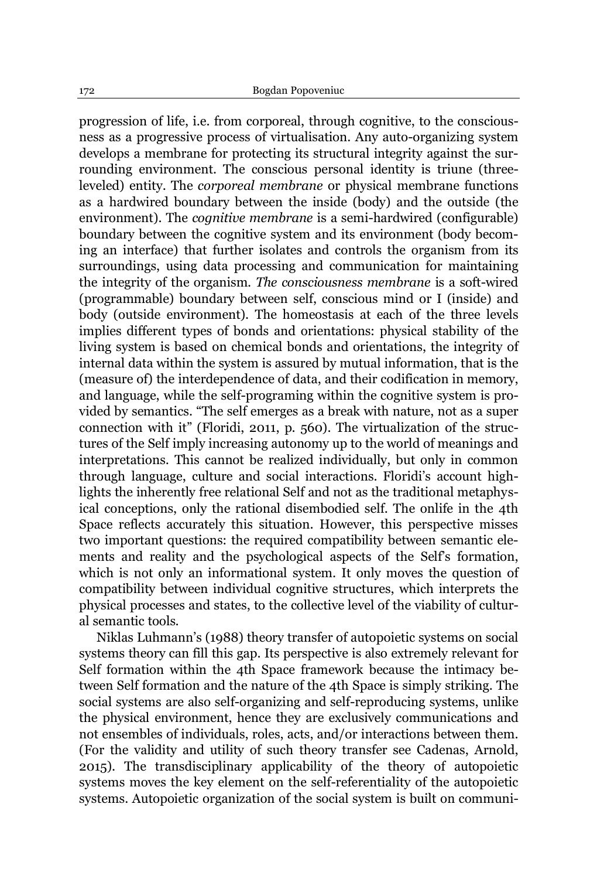progression of life, i.e. from corporeal, through cognitive, to the consciousness as a progressive process of virtualisation. Any auto-organizing system develops a membrane for protecting its structural integrity against the surrounding environment. The conscious personal identity is triune (threeleveled) entity. The *corporeal membrane* or physical membrane functions as a hardwired boundary between the inside (body) and the outside (the environment). The *cognitive membrane* is a semi-hardwired (configurable) boundary between the cognitive system and its environment (body becoming an interface) that further isolates and controls the organism from its surroundings, using data processing and communication for maintaining the integrity of the organism. *The consciousness membrane* is a soft-wired (programmable) boundary between self, conscious mind or I (inside) and body (outside environment). The homeostasis at each of the three levels implies different types of bonds and orientations: physical stability of the living system is based on chemical bonds and orientations, the integrity of internal data within the system is assured by mutual information, that is the (measure of) the interdependence of data, and their codification in memory, and language, while the self-programing within the cognitive system is provided by semantics. "The self emerges as a break with nature, not as a super connection with it" (Floridi, 2011, p. 560). The virtualization of the structures of the Self imply increasing autonomy up to the world of meanings and interpretations. This cannot be realized individually, but only in common through language, culture and social interactions. Floridi's account highlights the inherently free relational Self and not as the traditional metaphysical conceptions, only the rational disembodied self. The onlife in the 4th Space reflects accurately this situation. However, this perspective misses two important questions: the required compatibility between semantic elements and reality and the psychological aspects of the Self's formation, which is not only an informational system. It only moves the question of compatibility between individual cognitive structures, which interprets the physical processes and states, to the collective level of the viability of cultural semantic tools.

Niklas Luhmann's (1988) theory transfer of autopoietic systems on social systems theory can fill this gap. Its perspective is also extremely relevant for Self formation within the 4th Space framework because the intimacy between Self formation and the nature of the 4th Space is simply striking. The social systems are also self-organizing and self-reproducing systems, unlike the physical environment, hence they are exclusively communications and not ensembles of individuals, roles, acts, and/or interactions between them. (For the validity and utility of such theory transfer see [Cadenas, Arnold,](file:///M:/In%20progress/PROIECTE/CHANSE/Materiale/The%20Autopoiesis%20of%20Social%20Systems%20and%20its%20Criticisms.pdf)  [2015\)](file:///M:/In%20progress/PROIECTE/CHANSE/Materiale/The%20Autopoiesis%20of%20Social%20Systems%20and%20its%20Criticisms.pdf). The transdisciplinary applicability of the theory of autopoietic systems moves the key element on the self-referentiality of the autopoietic systems. Autopoietic organization of the social system is built on communi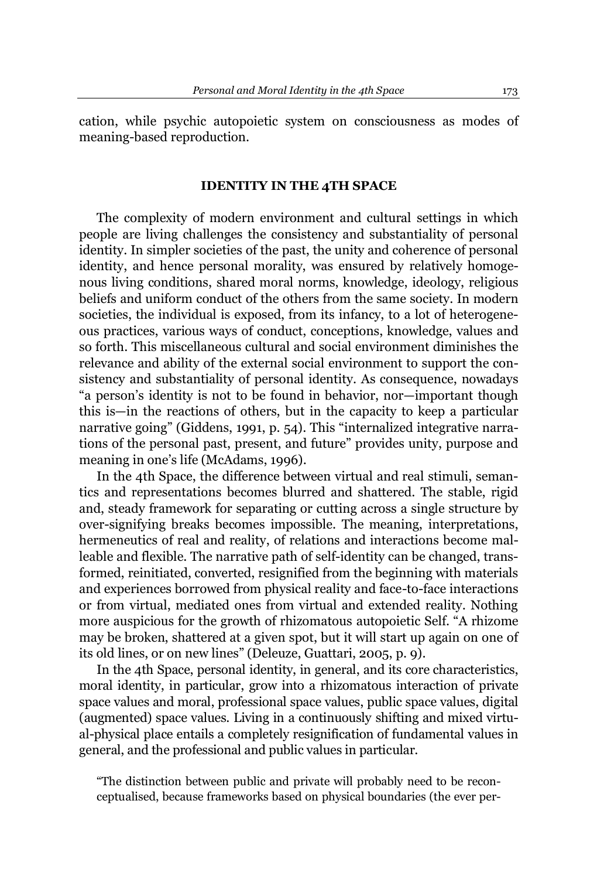cation, while psychic autopoietic system on consciousness as modes of meaning-based reproduction.

## **IDENTITY IN THE 4TH SPACE**

The complexity of modern environment and cultural settings in which people are living challenges the consistency and substantiality of personal identity. In simpler societies of the past, the unity and coherence of personal identity, and hence personal morality, was ensured by relatively homogenous living conditions, shared moral norms, knowledge, ideology, religious beliefs and uniform conduct of the others from the same society. In modern societies, the individual is exposed, from its infancy, to a lot of heterogeneous practices, various ways of conduct, conceptions, knowledge, values and so forth. This miscellaneous cultural and social environment diminishes the relevance and ability of the external social environment to support the consistency and substantiality of personal identity. As consequence, nowadays "a person's identity is not to be found in behavior, nor-important though this is—in the reactions of others, but in the capacity to keep a particular narrative going" (Giddens, 1991, p. 54). This "internalized integrative narrations of the personal past, present, and future" provides unity, purpose and meaning in one's life (McAdams, 1996).

In the 4th Space, the difference between virtual and real stimuli, semantics and representations becomes blurred and shattered. The stable, rigid and, steady framework for separating or cutting across a single structure by over-signifying breaks becomes impossible. The meaning, interpretations, hermeneutics of real and reality, of relations and interactions become malleable and flexible. The narrative path of self-identity can be changed, transformed, reinitiated, converted, resignified from the beginning with materials and experiences borrowed from physical reality and face-to-face interactions or from virtual, mediated ones from virtual and extended reality. Nothing more auspicious for the growth of rhizomatous autopoietic Self. "A rhizome may be broken, shattered at a given spot, but it will start up again on one of its old lines, or on new lines" (Deleuze, Guattari, 2005, p. 9).

In the 4th Space, personal identity, in general, and its core characteristics, moral identity, in particular, grow into a rhizomatous interaction of private space values and moral, professional space values, public space values, digital (augmented) space values. Living in a continuously shifting and mixed virtual-physical place entails a completely resignification of fundamental values in general, and the professional and public values in particular.

"The distinction between public and private will probably need to be reconceptualised, because frameworks based on physical boundaries (the ever per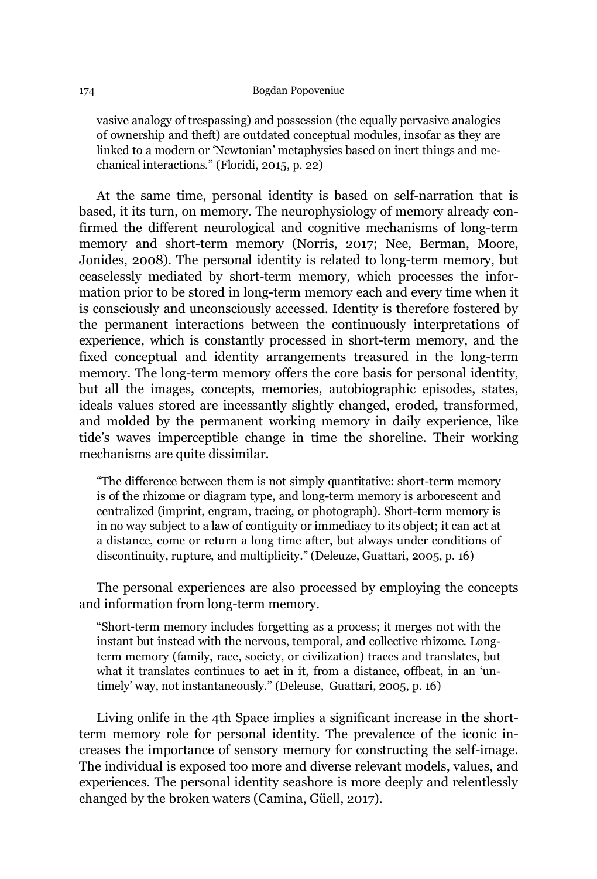vasive analogy of trespassing) and possession (the equally pervasive analogies of ownership and theft) are outdated conceptual modules, insofar as they are linked to a modern or 'Newtonian' metaphysics based on inert things and mechanical interactions." (Floridi, 2015, p. 22)

At the same time, personal identity is based on self-narration that is based, it its turn, on memory. The neurophysiology of memory already confirmed the different neurological and cognitive mechanisms of long-term memory and short-term memory (Norris, 2017; Nee, Berman, Moore, Jonides, 2008). The personal identity is related to long-term memory, but ceaselessly mediated by short-term memory, which processes the information prior to be stored in long-term memory each and every time when it is consciously and unconsciously accessed. Identity is therefore fostered by the permanent interactions between the continuously interpretations of experience, which is constantly processed in short-term memory, and the fixed conceptual and identity arrangements treasured in the long-term memory. The long-term memory offers the core basis for personal identity, but all the images, concepts, memories, autobiographic episodes, states, ideals values stored are incessantly slightly changed, eroded, transformed, and molded by the permanent working memory in daily experience, like tide's waves imperceptible change in time the shoreline. Their working mechanisms are quite dissimilar.

"The difference between them is not simply quantitative: short-term memory is of the rhizome or diagram type, and long-term memory is arborescent and centralized (imprint, engram, tracing, or photograph). Short-term memory is in no way subject to a law of contiguity or immediacy to its object; it can act at a distance, come or return a long time after, but always under conditions of discontinuity, rupture, and multiplicity." (Deleuze, Guattari, 2005, p. 16)

The personal experiences are also processed by employing the concepts and information from long-term memory.

"Short-term memory includes forgetting as a process; it merges not with the instant but instead with the nervous, temporal, and collective rhizome. Longterm memory (family, race, society, or civilization) traces and translates, but what it translates continues to act in it, from a distance, offbeat, in an 'untimely' way, not instantaneously." (Deleuse, Guattari, 2005, p. 16)

Living onlife in the 4th Space implies a significant increase in the shortterm memory role for personal identity. The prevalence of the iconic increases the importance of sensory memory for constructing the self-image. The individual is exposed too more and diverse relevant models, values, and experiences. The personal identity seashore is more deeply and relentlessly changed by the broken waters (Camina, Güell,  $2017$ ).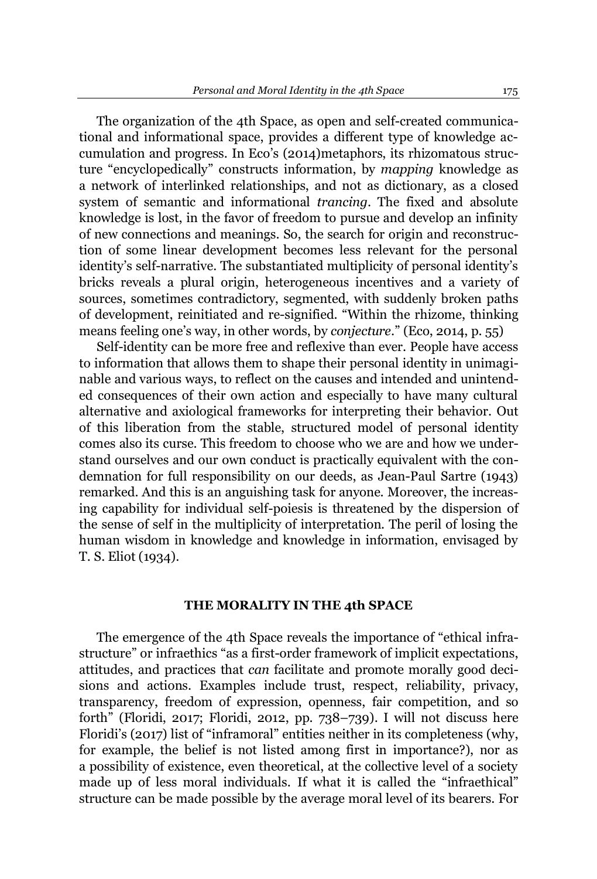The organization of the 4th Space, as open and self-created communicational and informational space, provides a different type of knowledge accumulation and progress. In Eco's  $(2014)$ metaphors, its rhizomatous structure "encyclopedically" constructs information, by *mapping* knowledge as a network of interlinked relationships, and not as dictionary, as a closed system of semantic and informational *trancing*. The fixed and absolute knowledge is lost, in the favor of freedom to pursue and develop an infinity of new connections and meanings. So, the search for origin and reconstruction of some linear development becomes less relevant for the personal identity's self-narrative. The substantiated multiplicity of personal identity's bricks reveals a plural origin, heterogeneous incentives and a variety of sources, sometimes contradictory, segmented, with suddenly broken paths of development, reinitiated and re-signified. "Within the rhizome, thinking means feeling one's way, in other words, by *conjecture*.<sup>"</sup> [\(Eco,](file:///E:/In%20progress/PROIECTE/CHANSE/Materiale/From%20the%20Tree%20to%20the%20Labyrinth%20Historical%20Studies%20on%20the%20Sign%20and%20Interpretation%20by%20Umberto%20Eco,%20Anthony%20Oldcorn.pdf) 2014, p. 55)

Self-identity can be more free and reflexive than ever. People have access to information that allows them to shape their personal identity in unimaginable and various ways, to reflect on the causes and intended and unintended consequences of their own action and especially to have many cultural alternative and axiological frameworks for interpreting their behavior. Out of this liberation from the stable, structured model of personal identity comes also its curse. This freedom to choose who we are and how we understand ourselves and our own conduct is practically equivalent with the condemnation for full responsibility on our deeds, as Jean-Paul Sartre (1943) remarked. And this is an anguishing task for anyone. Moreover, the increasing capability for individual self-poiesis is threatened by the dispersion of the sense of self in the multiplicity of interpretation. The peril of losing the human wisdom in knowledge and knowledge in information, envisaged by T. S. Eliot (1934).

## **THE MORALITY IN THE 4th SPACE**

The emergence of the 4th Space reveals the importance of "ethical infrastructure" or infraethics "as a first-order framework of implicit expectations, attitudes, and practices that *can* facilitate and promote morally good decisions and actions. Examples include trust, respect, reliability, privacy, transparency, freedom of expression, openness, fair competition, and so forth" (Floridi, 2017; Floridi, 2012, pp. 738-739). I will not discuss here Floridi's (2017) list of "inframoral" entities neither in its completeness (why, for example, the belief is not listed among first in importance?), nor as a possibility of existence, even theoretical, at the collective level of a society made up of less moral individuals. If what it is called the "infraethical" structure can be made possible by the average moral level of its bearers. For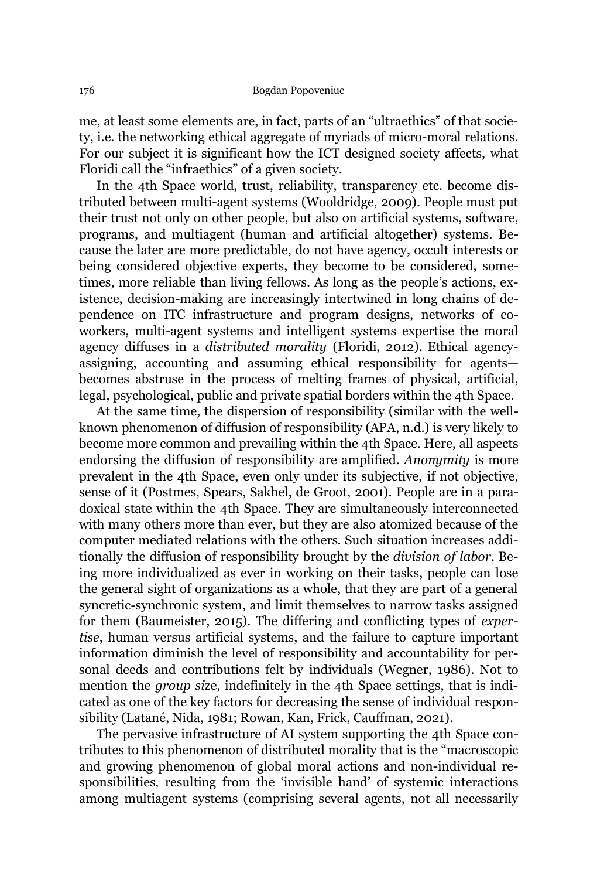me, at least some elements are, in fact, parts of an "ultraethics" of that society, i.e. the networking ethical aggregate of myriads of micro-moral relations. For our subject it is significant how the ICT designed society affects, what Floridi call the "infraethics" of a given society.

In the 4th Space world, trust, reliability, transparency etc. become distributed between multi-agent systems (Wooldridge, 2009). People must put their trust not only on other people, but also on artificial systems, software, programs, and multiagent (human and artificial altogether) systems. Because the later are more predictable, do not have agency, occult interests or being considered objective experts, they become to be considered, sometimes, more reliable than living fellows. As long as the people's actions, existence, decision-making are increasingly intertwined in long chains of dependence on ITC infrastructure and program designs, networks of coworkers, multi-agent systems and intelligent systems expertise the moral agency diffuses in a *distributed morality* (Floridi, 2012). Ethical agencyassigning, accounting and assuming ethical responsibility for agentsbecomes abstruse in the process of melting frames of physical, artificial, legal, psychological, public and private spatial borders within the 4th Space.

At the same time, the dispersion of responsibility (similar with the wellknown phenomenon of diffusion of responsibility (APA, n.d.) is very likely to become more common and prevailing within the 4th Space. Here, all aspects endorsing the diffusion of responsibility are amplified. *Anonymity* is more prevalent in the 4th Space, even only under its subjective, if not objective, sense of it (Postmes, Spears, Sakhel, de Groot, 2001). People are in a paradoxical state within the 4th Space. They are simultaneously interconnected with many others more than ever, but they are also atomized because of the computer mediated relations with the others. Such situation increases additionally the diffusion of responsibility brought by the *division of labor*. Being more individualized as ever in working on their tasks, people can lose the general sight of organizations as a whole, that they are part of a general syncretic-synchronic system, and limit themselves to narrow tasks assigned for them (Baumeister, 2015). The differing and conflicting types of *expertise*, human versus artificial systems, and the failure to capture important information diminish the level of responsibility and accountability for personal deeds and contributions felt by individuals (Wegner, 1986). Not to mention the *group si*ze, indefinitely in the 4th Space settings, that is indicated as one of the key factors for decreasing the sense of individual responsibility (Latané, Nida, 1981; Rowan, Kan, Frick, Cauffman, 2021).

The pervasive infrastructure of AI system supporting the 4th Space contributes to this phenomenon of distributed morality that is the "macroscopic and growing phenomenon of global moral actions and non-individual responsibilities, resulting from the 'invisible hand' of systemic interactions among multiagent systems (comprising several agents, not all necessarily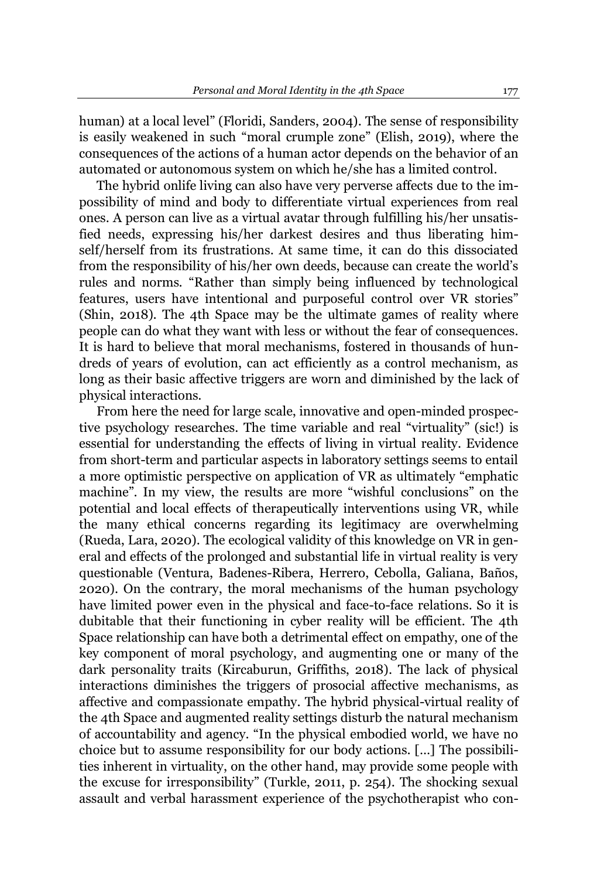human) at a local level" (Floridi, Sanders, 2004). The sense of responsibility is easily weakened in such "moral crumple zone" (Elish, 2019), where the consequences of the actions of a human actor depends on the behavior of an automated or autonomous system on which he/she has a limited control.

The hybrid onlife living can also have very perverse affects due to the impossibility of mind and body to differentiate virtual experiences from real ones. A person can live as a virtual avatar through fulfilling his/her unsatisfied needs, expressing his/her darkest desires and thus liberating himself/herself from its frustrations. At same time, it can do this dissociated from the responsibility of his/her own deeds, because can create the world's rules and norms. "Rather than simply being influenced by technological features, users have intentional and purposeful control over VR stories" (Shin, 2018). The 4th Space may be the ultimate games of reality where people can do what they want with less or without the fear of consequences. It is hard to believe that moral mechanisms, fostered in thousands of hundreds of years of evolution, can act efficiently as a control mechanism, as long as their basic affective triggers are worn and diminished by the lack of physical interactions.

From here the need for large scale, innovative and open-minded prospective psychology researches. The time variable and real "virtuality" (sic!) is essential for understanding the effects of living in virtual reality. Evidence from short-term and particular aspects in laboratory settings seems to entail a more optimistic perspective on application of VR as ultimately "emphatic machine". In my view, the results are more "wishful conclusions" on the potential and local effects of therapeutically interventions using VR, while the many ethical concerns regarding its legitimacy are overwhelming (Rueda, Lara, 2020). The ecological validity of this knowledge on VR in general and effects of the prolonged and substantial life in virtual reality is very questionable (Ventura, Badenes-Ribera, Herrero, Cebolla, Galiana, Baños, 2020). On the contrary, the moral mechanisms of the human psychology have limited power even in the physical and face-to-face relations. So it is dubitable that their functioning in cyber reality will be efficient. The 4th Space relationship can have both a detrimental effect on empathy, one of the key component of moral psychology, and augmenting one or many of the dark personality traits (Kircaburun, Griffiths, 2018). The lack of physical interactions diminishes the triggers of prosocial affective mechanisms, as affective and compassionate empathy. The hybrid physical-virtual reality of the 4th Space and augmented reality settings disturb the natural mechanism of accountability and agency. "In the physical embodied world, we have no choice but to assume responsibility for our body actions. [...] The possibilities inherent in virtuality, on the other hand, may provide some people with the excuse for irresponsibility" (Turkle, 2011, p. 254). The shocking sexual assault and verbal harassment experience of the psychotherapist who con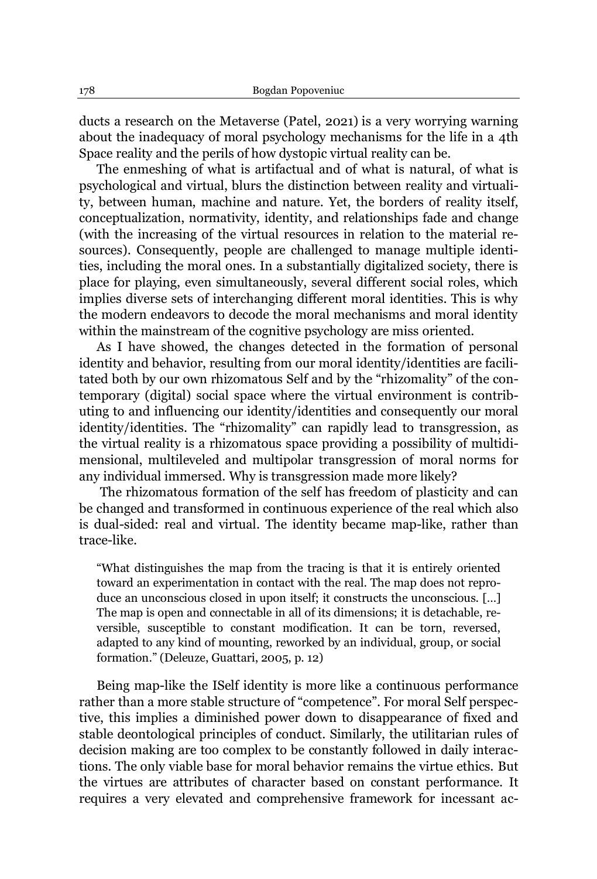ducts a research on the Metaverse (Patel, 2021) is a very worrying warning about the inadequacy of moral psychology mechanisms for the life in a 4th Space reality and the perils of how dystopic virtual reality can be.

The enmeshing of what is artifactual and of what is natural, of what is psychological and virtual, blurs the distinction between reality and virtuality, between human, machine and nature. Yet, the borders of reality itself, conceptualization, normativity, identity, and relationships fade and change (with the increasing of the virtual resources in relation to the material resources). Consequently, people are challenged to manage multiple identities, including the moral ones. In a substantially digitalized society, there is place for playing, even simultaneously, several different social roles, which implies diverse sets of interchanging different moral identities. This is why the modern endeavors to decode the moral mechanisms and moral identity within the mainstream of the cognitive psychology are miss oriented.

As I have showed, the changes detected in the formation of personal identity and behavior, resulting from our moral identity/identities are facilitated both by our own rhizomatous Self and by the "rhizomality" of the contemporary (digital) social space where the virtual environment is contributing to and influencing our identity/identities and consequently our moral identity/identities. The "rhizomality" can rapidly lead to transgression, as the virtual reality is a rhizomatous space providing a possibility of multidimensional, multileveled and multipolar transgression of moral norms for any individual immersed. Why is transgression made more likely?

The rhizomatous formation of the self has freedom of plasticity and can be changed and transformed in continuous experience of the real which also is dual-sided: real and virtual. The identity became map-like, rather than trace-like.

"What distinguishes the map from the tracing is that it is entirely oriented toward an experimentation in contact with the real. The map does not reproduce an unconscious closed in upon itself; it constructs the unconscious. [...] The map is open and connectable in all of its dimensions; it is detachable, reversible, susceptible to constant modification. It can be torn, reversed, adapted to any kind of mounting, reworked by an individual, group, or social formation.´(Deleuze, Guattari, 2005, p. 12)

Being map-like the ISelf identity is more like a continuous performance rather than a more stable structure of "competence". For moral Self perspective, this implies a diminished power down to disappearance of fixed and stable deontological principles of conduct. Similarly, the utilitarian rules of decision making are too complex to be constantly followed in daily interactions. The only viable base for moral behavior remains the virtue ethics. But the virtues are attributes of character based on constant performance. It requires a very elevated and comprehensive framework for incessant ac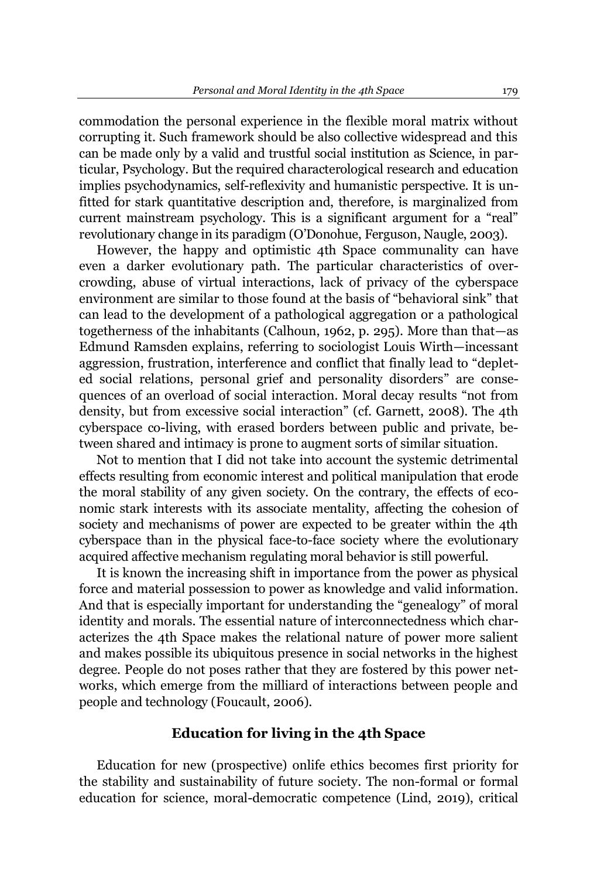commodation the personal experience in the flexible moral matrix without corrupting it. Such framework should be also collective widespread and this can be made only by a valid and trustful social institution as Science, in particular, Psychology. But the required characterological research and education implies psychodynamics, self-reflexivity and humanistic perspective. It is unfitted for stark quantitative description and, therefore, is marginalized from current mainstream psychology. This is a significant argument for a "real" revolutionary change in its paradigm (O'Donohue, Ferguson, Naugle, 2003).

However, the happy and optimistic 4th Space communality can have even a darker evolutionary path. The particular characteristics of overcrowding, abuse of virtual interactions, lack of privacy of the cyberspace environment are similar to those found at the basis of "behavioral sink" that can lead to the development of a pathological aggregation or a pathological togetherness of the inhabitants (Calhoun, 1962, p. 295). More than that $-$ as Edmund Ramsden explains, referring to sociologist Louis Wirth-incessant aggression, frustration, interference and conflict that finally lead to "depleted social relations, personal grief and personality disorders" are consequences of an overload of social interaction. Moral decay results "not from density, but from excessive social interaction" (cf. Garnett, 2008). The 4th cyberspace co-living, with erased borders between public and private, between shared and intimacy is prone to augment sorts of similar situation.

Not to mention that I did not take into account the systemic detrimental effects resulting from economic interest and political manipulation that erode the moral stability of any given society. On the contrary, the effects of economic stark interests with its associate mentality, affecting the cohesion of society and mechanisms of power are expected to be greater within the 4th cyberspace than in the physical face-to-face society where the evolutionary acquired affective mechanism regulating moral behavior is still powerful.

It is known the increasing shift in importance from the power as physical force and material possession to power as knowledge and valid information. And that is especially important for understanding the "genealogy" of moral identity and morals. The essential nature of interconnectedness which characterizes the 4th Space makes the relational nature of power more salient and makes possible its ubiquitous presence in social networks in the highest degree. People do not poses rather that they are fostered by this power networks, which emerge from the milliard of interactions between people and people and technology (Foucault, 2006).

## **Education for living in the 4th Space**

Education for new (prospective) onlife ethics becomes first priority for the stability and sustainability of future society. The non-formal or formal education for science, moral-democratic competence (Lind, 2019), critical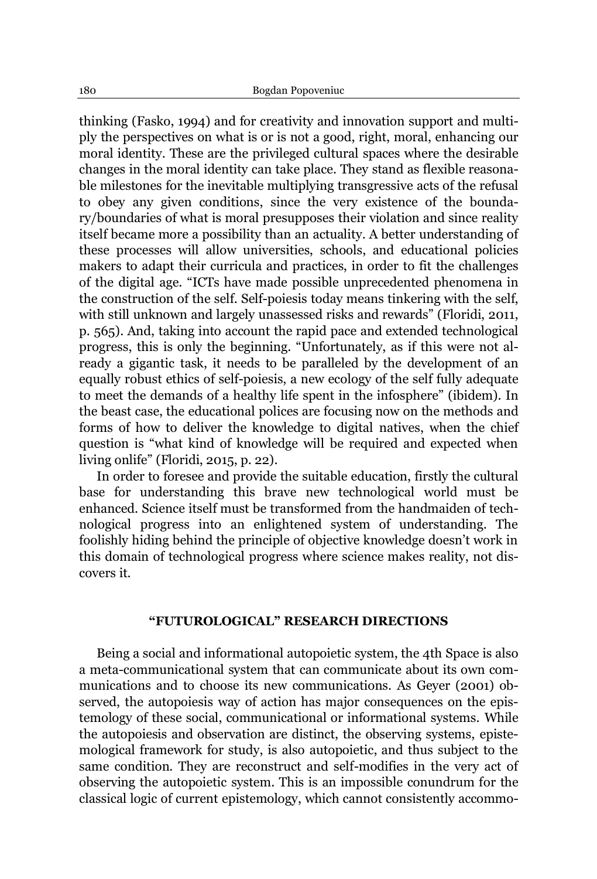thinking (Fasko, 1994) and for creativity and innovation support and multiply the perspectives on what is or is not a good, right, moral, enhancing our moral identity. These are the privileged cultural spaces where the desirable changes in the moral identity can take place. They stand as flexible reasonable milestones for the inevitable multiplying transgressive acts of the refusal to obey any given conditions, since the very existence of the boundary/boundaries of what is moral presupposes their violation and since reality itself became more a possibility than an actuality. A better understanding of these processes will allow universities, schools, and educational policies makers to adapt their curricula and practices, in order to fit the challenges of the digital age. "ICTs have made possible unprecedented phenomena in the construction of the self. Self-poiesis today means tinkering with the self, with still unknown and largely unassessed risks and rewards" (Floridi, 2011, p. 565). And, taking into account the rapid pace and extended technological progress, this is only the beginning. "Unfortunately, as if this were not already a gigantic task, it needs to be paralleled by the development of an equally robust ethics of self-poiesis, a new ecology of the self fully adequate to meet the demands of a healthy life spent in the infosphere" (ibidem). In the beast case, the educational polices are focusing now on the methods and forms of how to deliver the knowledge to digital natives, when the chief question is "what kind of knowledge will be required and expected when living onlife" (Floridi, 2015, p. 22).

In order to foresee and provide the suitable education, firstly the cultural base for understanding this brave new technological world must be enhanced. Science itself must be transformed from the handmaiden of technological progress into an enlightened system of understanding. The foolishly hiding behind the principle of objective knowledge doesn't work in this domain of technological progress where science makes reality, not discovers it.

#### **³FUTUROLOGICAL´RESEARCH DIRECTIONS**

Being a social and informational autopoietic system, the 4th Space is also a meta-communicational system that can communicate about its own communications and to choose its new communications. As Geyer (2001) observed, the autopoiesis way of action has major consequences on the epistemology of these social, communicational or informational systems. While the autopoiesis and observation are distinct, the observing systems, epistemological framework for study, is also autopoietic, and thus subject to the same condition. They are reconstruct and self-modifies in the very act of observing the autopoietic system. This is an impossible conundrum for the classical logic of current epistemology, which cannot consistently accommo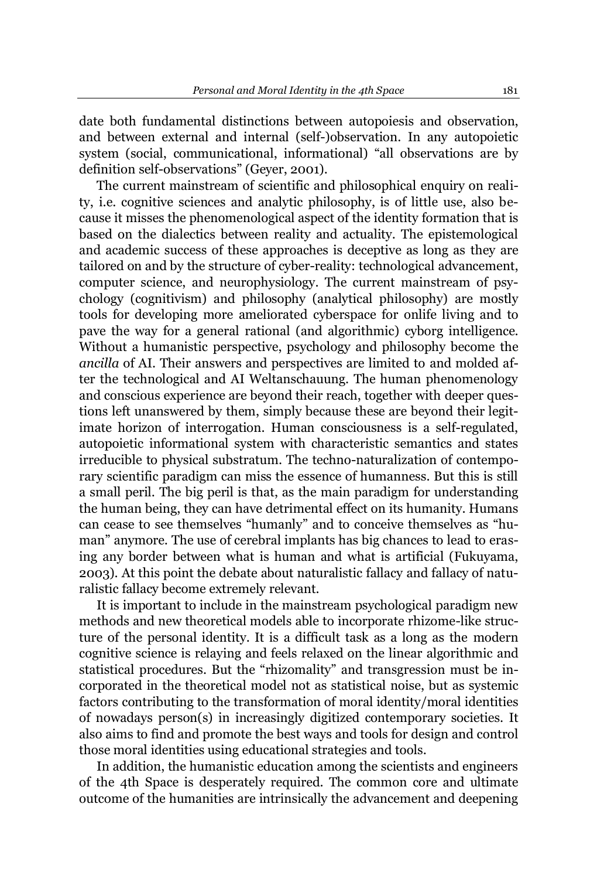date both fundamental distinctions between autopoiesis and observation, and between external and internal (self-)observation. In any autopoietic system (social, communicational, informational) "all observations are by definition self-observations" (Geyer, 2001).

The current mainstream of scientific and philosophical enquiry on reality, i.e. cognitive sciences and analytic philosophy, is of little use, also because it misses the phenomenological aspect of the identity formation that is based on the dialectics between reality and actuality. The epistemological and academic success of these approaches is deceptive as long as they are tailored on and by the structure of cyber-reality: technological advancement, computer science, and neurophysiology. The current mainstream of psychology (cognitivism) and philosophy (analytical philosophy) are mostly tools for developing more ameliorated cyberspace for onlife living and to pave the way for a general rational (and algorithmic) cyborg intelligence. Without a humanistic perspective, psychology and philosophy become the *ancilla* of AI. Their answers and perspectives are limited to and molded after the technological and AI Weltanschauung. The human phenomenology and conscious experience are beyond their reach, together with deeper questions left unanswered by them, simply because these are beyond their legitimate horizon of interrogation. Human consciousness is a self-regulated, autopoietic informational system with characteristic semantics and states irreducible to physical substratum. The techno-naturalization of contemporary scientific paradigm can miss the essence of humanness. But this is still a small peril. The big peril is that, as the main paradigm for understanding the human being, they can have detrimental effect on its humanity. Humans can cease to see themselves "humanly" and to conceive themselves as "human" anymore. The use of cerebral implants has big chances to lead to erasing any border between what is human and what is artificial (Fukuyama, 2003). At this point the debate about naturalistic fallacy and fallacy of naturalistic fallacy become extremely relevant.

It is important to include in the mainstream psychological paradigm new methods and new theoretical models able to incorporate rhizome-like structure of the personal identity. It is a difficult task as a long as the modern cognitive science is relaying and feels relaxed on the linear algorithmic and statistical procedures. But the "rhizomality" and transgression must be incorporated in the theoretical model not as statistical noise, but as systemic factors contributing to the transformation of moral identity/moral identities of nowadays person(s) in increasingly digitized contemporary societies. It also aims to find and promote the best ways and tools for design and control those moral identities using educational strategies and tools.

In addition, the humanistic education among the scientists and engineers of the 4th Space is desperately required. The common core and ultimate outcome of the humanities are intrinsically the advancement and deepening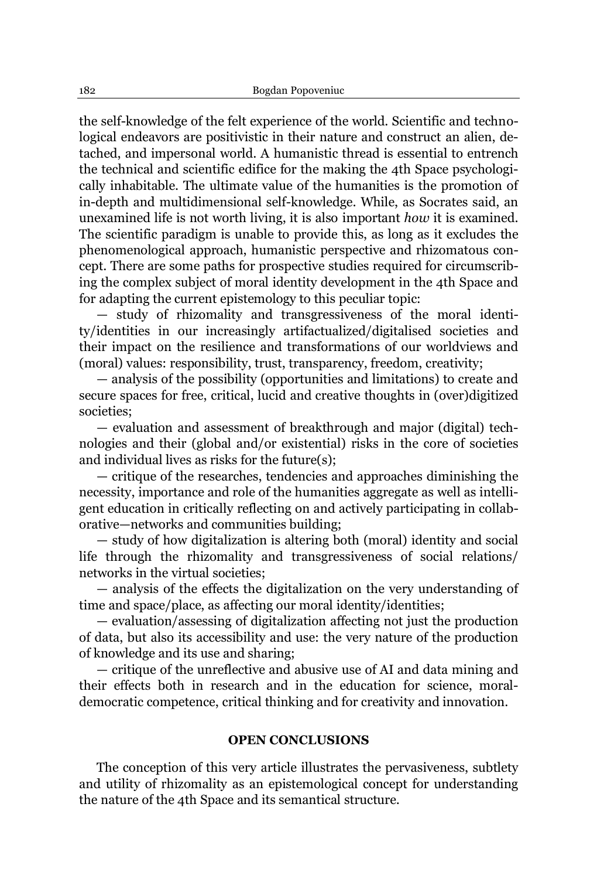the self-knowledge of the felt experience of the world. Scientific and technological endeavors are positivistic in their nature and construct an alien, detached, and impersonal world. A humanistic thread is essential to entrench the technical and scientific edifice for the making the 4th Space psychologically inhabitable. The ultimate value of the humanities is the promotion of in-depth and multidimensional self-knowledge. While, as Socrates said, an unexamined life is not worth living, it is also important *how* it is examined. The scientific paradigm is unable to provide this, as long as it excludes the phenomenological approach, humanistic perspective and rhizomatous concept. There are some paths for prospective studies required for circumscribing the complex subject of moral identity development in the 4th Space and for adapting the current epistemology to this peculiar topic:

 $-$  study of rhizomality and transgressiveness of the moral identity/identities in our increasingly artifactualized/digitalised societies and their impact on the resilience and transformations of our worldviews and (moral) values: responsibility, trust, transparency, freedom, creativity;

 $-$  analysis of the possibility (opportunities and limitations) to create and secure spaces for free, critical, lucid and creative thoughts in (over)digitized societies;

 $-$  evaluation and assessment of breakthrough and major (digital) technologies and their (global and/or existential) risks in the core of societies and individual lives as risks for the future(s);

 $-$  critique of the researches, tendencies and approaches diminishing the necessity, importance and role of the humanities aggregate as well as intelligent education in critically reflecting on and actively participating in collaborative—networks and communities building;

- study of how digitalization is altering both (moral) identity and social life through the rhizomality and transgressiveness of social relations/ networks in the virtual societies;

- analysis of the effects the digitalization on the very understanding of time and space/place, as affecting our moral identity/identities;

 $-$  evaluation/assessing of digitalization affecting not just the production of data, but also its accessibility and use: the very nature of the production of knowledge and its use and sharing;

 $-$  critique of the unreflective and abusive use of AI and data mining and their effects both in research and in the education for science, moraldemocratic competence, critical thinking and for creativity and innovation.

# **OPEN CONCLUSIONS**

The conception of this very article illustrates the pervasiveness, subtlety and utility of rhizomality as an epistemological concept for understanding the nature of the 4th Space and its semantical structure.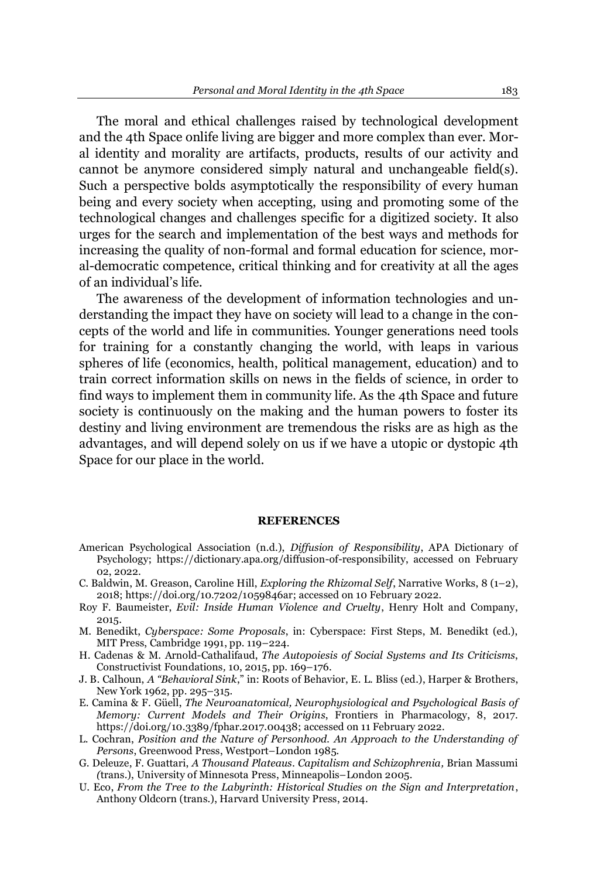The moral and ethical challenges raised by technological development and the 4th Space onlife living are bigger and more complex than ever. Moral identity and morality are artifacts, products, results of our activity and cannot be anymore considered simply natural and unchangeable field(s). Such a perspective bolds asymptotically the responsibility of every human being and every society when accepting, using and promoting some of the technological changes and challenges specific for a digitized society. It also urges for the search and implementation of the best ways and methods for increasing the quality of non-formal and formal education for science, moral-democratic competence, critical thinking and for creativity at all the ages of an individual's life.

The awareness of the development of information technologies and understanding the impact they have on society will lead to a change in the concepts of the world and life in communities. Younger generations need tools for training for a constantly changing the world, with leaps in various spheres of life (economics, health, political management, education) and to train correct information skills on news in the fields of science, in order to find ways to implement them in community life. As the 4th Space and future society is continuously on the making and the human powers to foster its destiny and living environment are tremendous the risks are as high as the advantages, and will depend solely on us if we have a utopic or dystopic 4th Space for our place in the world.

#### **REFERENCES**

- American Psychological Association (n.d.), *Diffusion of Responsibility*, APA Dictionary of Psychology; https://dictionary.apa.org/diffusion-of-responsibility, accessed on February 02, 2022.
- C. Baldwin, M. Greason, Caroline Hill, *Exploring the Rhizomal Self*, Narrative Works, 8 (1–2), 2018[; https://doi.org/10.7202/1059846ar;](https://doi.org/10.7202/1059846ar) accessed on 10 February 2022.
- Roy F. Baumeister, *Evil: Inside Human Violence and Cruelty*, Henry Holt and Company, 2015.
- M. Benedikt, *Cyberspace: Some Proposals*, in: Cyberspace: First Steps, M. Benedikt (ed.), MIT Press, Cambridge 1991, pp.  $119-224$ .
- H. Cadenas & M. Arnold-Cathalifaud, *The Autopoiesis of Social Systems and Its Criticisms*, Constructivist Foundations, 10, 2015, pp. 169-176.
- J. B. Calhoun, *A "Behavioral Sink*," in: Roots of Behavior, E. L. Bliss (ed.), Harper & Brothers, New York 1962, pp. 295-315.
- E. Camina & F. Güell, *The Neuroanatomical, Neurophysiological and Psychological Basis of Memory: Current Models and Their Origins*, Frontiers in Pharmacology, 8, 2017. [https://doi.org/10.3389/fphar.2017.00438;](https://doi.org/10.3389/fphar.2017.00438) accessed on 11 February 2022.
- L. Cochran, *Position and the Nature of Personhood. An Approach to the Understanding of*  Persons, Greenwood Press, Westport-London 1985.
- G. Deleuze, F. Guattari, *A Thousand Plateaus. Capitalism and Schizophrenia,* Brian Massumi *(trans.), University of Minnesota Press, Minneapolis-London 2005.*
- U. Eco, *From the Tree to the Labyrinth: Historical Studies on the Sign and Interpretation*, Anthony Oldcorn (trans.), Harvard University Press, 2014.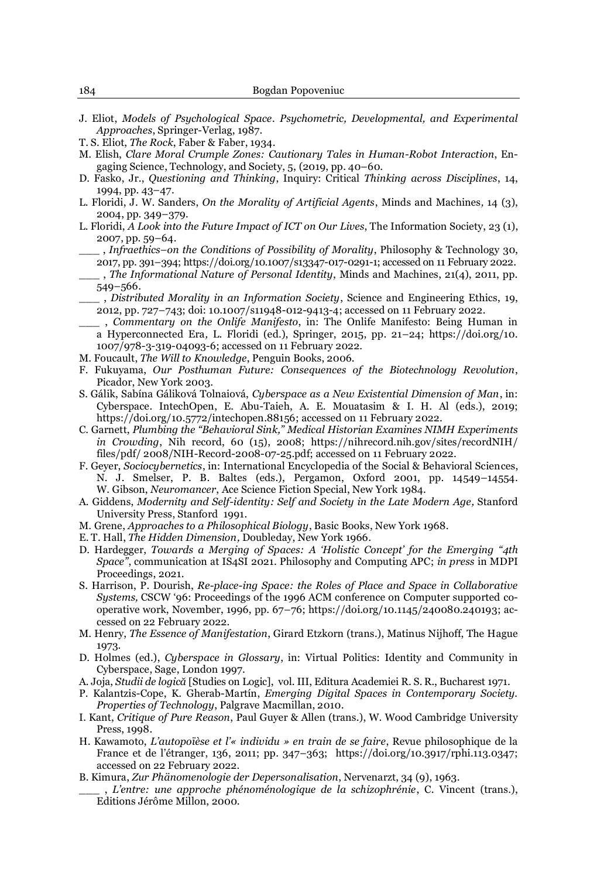- J. Eliot, *Models of Psychological Space. Psychometric, Developmental, and Experimental Approaches*, Springer-Verlag, 1987.
- T. S. Eliot, *The Rock*, Faber & Faber, 1934.
- M. Elish, *Clare Moral Crumple Zones: Cautionary Tales in Human-Robot Interaction*, Engaging Science, Technology, and Society, 5, (2019, pp. 40-60.
- D. Fasko, Jr., *Questioning and Thinking*, Inquiry: Critical *Thinking across Disciplines*, 14, 1994, pp. 43-47.
- L. Floridi, J. W. Sanders, *On the Morality of Artificial Agents*, Minds and Machines*,* 14 (3), 2004, pp. 349±379.
- L. Floridi, *A Look into the Future Impact of ICT on Our Lives*, The Information Society, 23 (1), 2007, pp. 59-64.
	- \_\_\_ , *Infraethics±on the Conditions of Possibility of Morality*, Philosophy & Technology 30, 2017, pp. 391±394; https://doi.org/10.1007/s13347-017-0291-1; accessed on 11 February 2022.
	- \_\_\_ , *The Informational Nature of Personal Identity*, Minds and Machines, 21(4), 2011, pp. 549±566.
	- \_\_\_ , *Distributed Morality in an Information Society*, Science and Engineering Ethics, 19, 2012, pp. 727±743; doi: 10.1007/s11948-012-9413-4; accessed on 11 February 2022.
	- \_\_\_ , *Commentary on the Onlife Manifesto*, in: The Onlife Manifesto: Being Human in a Hyperconnected Era, L. Floridi (ed.), Springer, 2015, pp. 21-24; https://doi.org/10. 1007/978-3-319-04093-6; accessed on 11 February 2022.
- M. Foucault, *The Will to Knowledge*, Penguin Books, 2006.
- F. Fukuyama, *Our Posthuman Future: Consequences of the Biotechnology Revolution*, Picador, New York 2003.
- S. Gálik, Sabína Gáliková Tolnaiová, Cyberspace as a New Existential Dimension of Man, in: Cyberspace. IntechOpen, E. Abu-Taieh, A. E. Mouatasim & I. H. Al (eds.), 2019; [https://doi.org/10.5772/intechopen.88156;](https://doi.org/10.5772/intechopen.88156) accessed on 11 February 2022.
- C. Garnett, *Plumbing the "Behavioral Sink," Medical Historian Examines NIMH Experiments in Crowding*, Nih record, 60 (15), 2008; https://nihrecord.nih.gov/sites/recordNIH/ files/pdf/ 2008/NIH-Record-2008-07-25.pdf; accessed on 11 February 2022.
- F. Geyer, *Sociocybernetics*, in: International Encyclopedia of the Social & Behavioral Sciences, N. J. Smelser, P. B. Baltes (eds.), Pergamon, Oxford 2001, pp. 14549-14554. W. Gibson, *Neuromancer*, Ace Science Fiction Special, New York 1984.
- A. Giddens, *Modernity and Self-identity: Self and Society in the Late Modern Age,* Stanford University Press, Stanford 1991.
- M. Grene, *Approaches to a Philosophical Biology*, Basic Books, New York 1968.
- E. T. Hall, *The Hidden Dimension,* Doubleday, New York 1966.
- D. Hardegger, *Towards a Merging of Spaces: A 'Holistic Concept' for the Emerging "4th 6SDFH´*, communication at IS4SI 2021. Philosophy and Computing APC; *in press* in MDPI Proceedings, 2021.
- S. Harrison, P. Dourish, *Re-place-ing Space: the Roles of Place and Space in Collaborative Systems, CSCW* '96: Proceedings of the 1996 ACM conference on Computer supported cooperative work, November, 1996, pp. 67±76; [https://doi.org/10.1145/240080.240193;](https://doi.org/10.1145/240080.240193) accessed on 22 February 2022.
- M. Henry, *The Essence of Manifestation*, Girard Etzkorn (trans.), Matinus Nijhoff, The Hague 1973.
- D. Holmes (ed.), *Cyberspace in Glossary*, in: Virtual Politics: Identity and Community in Cyberspace, Sage, London 1997.
- A. Joja, *Studii de logică* [Studies on Logic], vol. III, Editura Academiei R. S. R., Bucharest 1971.
- P. Kalantzis-Cope, K. Gherab-Martín, *Emerging Digital Spaces in Contemporary Society*. *Properties of Technology*, Palgrave Macmillan, 2010.
- I. Kant, *Critique of Pure Reason*, Paul Guyer & Allen (trans.), W. Wood Cambridge University Press, 1998.
- H. Kawamoto, *L'autopoïèse et l'« individu » en train de se faire*, Revue philosophique de la France et de l'étranger, 136, 2011; pp. 347-363; [https://doi.org/10.3917/rphi.113.0347;](https://doi.org/10.3917/rphi.113.0347) accessed on 22 February 2022.
- B. Kimura, *Zur Phänomenologie der Depersonalisation*, Nervenarzt, 34 (9), 1963.
	- \_\_\_ , */¶HQWUH XQH DSSURFKH SKpQRPpQRORJLTXH GH OD VFKL]RSKUpQLH*, C. Vincent (trans.), Editions Jérôme Millon, 2000.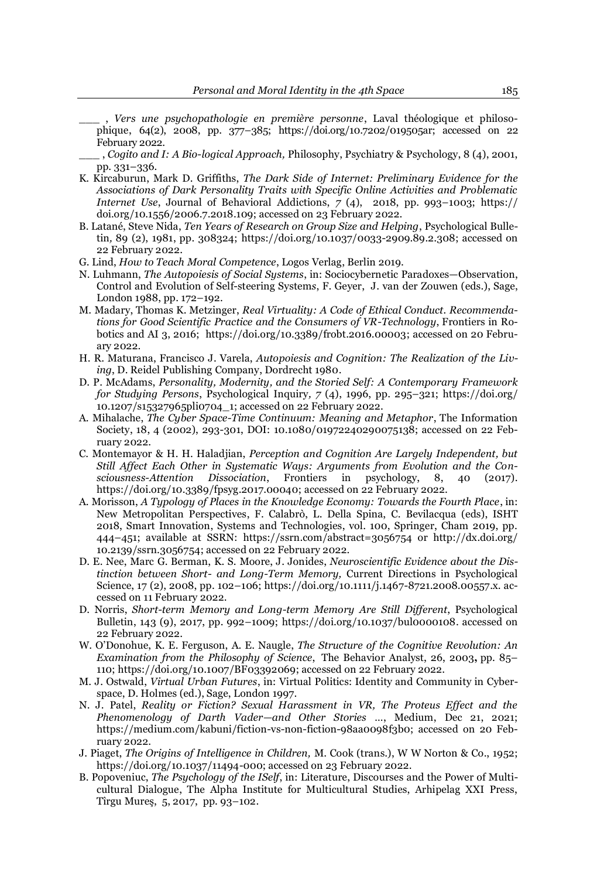- , Vers une psychopathologie en première personne, Laval théologique et philosophique, 64(2), 2008, pp. 377±385; [https://doi.org/10.7202/019505ar;](https://doi.org/10.7202/019505ar) accessed on 22 February 2022.
- \_\_\_ , *Cogito and I: A Bio-logical Approach,* Philosophy, Psychiatry & Psychology, 8 (4), 2001, pp. 331±336.
- K. Kircaburun, Mark D. Griffiths, *The Dark Side of Internet: Preliminary Evidence for the Associations of Dark Personality Traits with Specific Online Activities and Problematic Internet Use*, Journal of Behavioral Addictions, *7* (4), 2018, pp. 993-1003; https:// doi.org/10.1556/2006.7.2018.109; accessed on 23 February 2022.
- B. Latané, Steve Nida, Ten Years of Research on Group Size and Helping, Psychological Bulletin*,* 89 (2), 1981, pp. 308324; [https://doi.org/10.1037/0033-2909.89.2.308;](https://psycnet.apa.org/doi/10.1037/0033-2909.89.2.308) accessed on 22 February 2022.
- G. Lind, *How to Teach Moral Competence*, Logos Verlag, Berlin 2019.
- N. Luhmann, *The Autopoiesis of Social Systems*, in: Sociocybernetic Paradoxes-Observation, Control and Evolution of Self-steering System*s*, F. Geyer, J. van der Zouwen (eds.), Sage, London 1988, pp. 172-192.
- M. Madary, Thomas K. Metzinger, *Real Virtuality: A Code of Ethical Conduct. Recommendations for Good Scientific Practice and the Consumers of VR-Technology*, Frontiers in Robotics and AI 3, 2016; https://doi.org/10.3389/frobt.2016.00003; accessed on 20 February 2022.
- H. R. Maturana, Francisco J. Varela, *Autopoiesis and Cognition: The Realization of the Living*, D. Reidel Publishing Company, Dordrecht 1980.
- D. P. McAdams, *Personality, Modernity, and the Storied Self: A Contemporary Framework for Studying Persons*, Psychological Inquiry,  $7(4)$ , 1996, pp. 295–321; [https://doi.org/](https://psycnet.apa.org/doi/10.1207/s15327965pli0704_1) [10.1207/s15327965pli0704\\_1;](https://psycnet.apa.org/doi/10.1207/s15327965pli0704_1) accessed on 22 February 2022.
- A. Mihalache, *The Cyber Space-Time Continuum: Meaning and Metaphor*, The Information Society, 18, 4 (2002), 293-301, DOI: [10.1080/01972240290075138;](https://doi.org/10.1080/01972240290075138) accessed on 22 February 2022.
- C. Montemayor & H. H. Haladjian, *Perception and Cognition Are Largely Independent, but Still Affect Each Other in Systematic Ways: Arguments from Evolution and the Consciousness-Attention Dissociation*, Frontiers in psychology, 8, 40 (2017). [https://doi.org/10.3389/fpsyg.2017.00040;](https://doi.org/10.3389/fpsyg.2017.00040) accessed on 22 February 2022.
- A. Morisson, *A Typology of Places in the Knowledge Economy: Towards the Fourth Place*, in: New Metropolitan Perspectives, F. Calabrò, L. Della Spina, C. Bevilacqua (eds), ISHT 2018, Smart Innovation, Systems and Technologies, vol. 100, Springer, Cham 2019, pp. 444-451; available at SSRN: <https://ssrn.com/abstract=3056754> or [http://dx.doi.org/](https://dx.doi.org/10.2139/ssrn.3056754) [10.2139/ssrn.3056754;](https://dx.doi.org/10.2139/ssrn.3056754) accessed on 22 February 2022.
- D. E. Nee, Marc G. Berman, K. S. Moore, J. Jonides, *Neuroscientific Evidence about the Distinction between Short- and Long-Term Memory,* Current Directions in Psychological Science, 17 (2), 2008, pp. 102-106; https://doi.org/10.1111/j.1467-8721.2008.00557.x. accessed on 11 February 2022.
- D. Norris, *Short-term Memory and Long-term Memory Are Still Different*, Psychological Bulletin,  $143$  (9),  $2017$ , pp. 992-1009; [https://doi.org/10.1037/bul0000108.](https://doi.org/10.1037/bul0000108) accessed on 22 February 2022.
- W. O'Donohue, K. E. Ferguson, A. E. Naugle, *The Structure of the Cognitive Revolution: An Examination from the Philosophy of Science*, The Behavior Analyst, 26, 2003, pp. 85-110; https://doi.org/10.1007/BF03392069; accessed on 22 February 2022.
- M. J. Ostwald, *Virtual Urban Futures*, in: Virtual Politics: Identity and Community in Cyberspace, D. Holmes (ed.), Sage, London 1997.
- N. J. Patel, *Reality or Fiction? Sexual Harassment in VR, The Proteus Effect and the Phenomenology of Darth Vader*—and Other Stories ..., Medium, Dec 21, 2021; [https://medium.com/kabuni/fiction-vs-non-fiction-98aa0098f3b0;](https://medium.com/kabuni/fiction-vs-non-fiction-98aa0098f3b0) accessed on 20 February 2022.
- J. Piaget, *The Origins of Intelligence in Children,* M. Cook (trans.), W W Norton & Co., 1952; [https://doi.org/10.1037/11494-000;](https://doi.org/10.1037/11494-000) accessed on 23 February 2022.
- B. Popoveniuc, *[The Psychology of the ISelf](file:///M:/EU/CV%20si%20Articole/Articole/108.%20The%20Psychology%20of%20the%20ISelf.pdf)*, in: Literature, Discourses and the Power of Multicultural Dialogue, The Alpha Institute for Multicultural Studies, Arhipelag XXI Press, Tîrgu Mureş, 5, 2017, pp. 93-102.